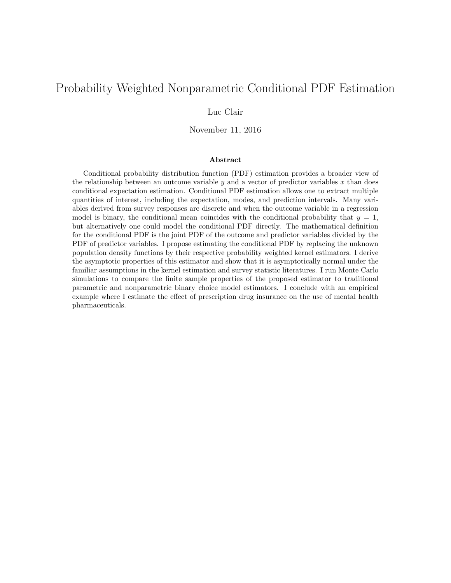# Probability Weighted Nonparametric Conditional PDF Estimation

## Luc Clair

November 11, 2016

#### Abstract

Conditional probability distribution function (PDF) estimation provides a broader view of the relationship between an outcome variable  $y$  and a vector of predictor variables  $x$  than does conditional expectation estimation. Conditional PDF estimation allows one to extract multiple quantities of interest, including the expectation, modes, and prediction intervals. Many variables derived from survey responses are discrete and when the outcome variable in a regression model is binary, the conditional mean coincides with the conditional probability that  $y = 1$ , but alternatively one could model the conditional PDF directly. The mathematical definition for the conditional PDF is the joint PDF of the outcome and predictor variables divided by the PDF of predictor variables. I propose estimating the conditional PDF by replacing the unknown population density functions by their respective probability weighted kernel estimators. I derive the asymptotic properties of this estimator and show that it is asymptotically normal under the familiar assumptions in the kernel estimation and survey statistic literatures. I run Monte Carlo simulations to compare the finite sample properties of the proposed estimator to traditional parametric and nonparametric binary choice model estimators. I conclude with an empirical example where I estimate the effect of prescription drug insurance on the use of mental health pharmaceuticals.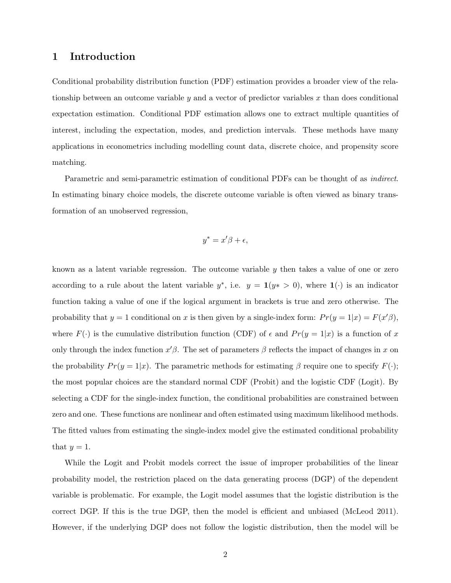## 1 Introduction

Conditional probability distribution function (PDF) estimation provides a broader view of the relationship between an outcome variable  $y$  and a vector of predictor variables  $x$  than does conditional expectation estimation. Conditional PDF estimation allows one to extract multiple quantities of interest, including the expectation, modes, and prediction intervals. These methods have many applications in econometrics including modelling count data, discrete choice, and propensity score matching.

Parametric and semi-parametric estimation of conditional PDFs can be thought of as indirect. In estimating binary choice models, the discrete outcome variable is often viewed as binary transformation of an unobserved regression,

$$
y^* = x'\beta + \epsilon,
$$

known as a latent variable regression. The outcome variable  $y$  then takes a value of one or zero according to a rule about the latent variable  $y^*$ , i.e.  $y = \mathbf{1}(y^* > 0)$ , where  $\mathbf{1}(\cdot)$  is an indicator function taking a value of one if the logical argument in brackets is true and zero otherwise. The probability that  $y = 1$  conditional on x is then given by a single-index form:  $Pr(y = 1|x) = F(x' \beta)$ , where  $F(\cdot)$  is the cumulative distribution function (CDF) of  $\epsilon$  and  $Pr(y = 1|x)$  is a function of x only through the index function  $x'\beta$ . The set of parameters  $\beta$  reflects the impact of changes in x on the probability  $Pr(y = 1|x)$ . The parametric methods for estimating  $\beta$  require one to specify  $F(\cdot)$ ; the most popular choices are the standard normal CDF (Probit) and the logistic CDF (Logit). By selecting a CDF for the single-index function, the conditional probabilities are constrained between zero and one. These functions are nonlinear and often estimated using maximum likelihood methods. The fitted values from estimating the single-index model give the estimated conditional probability that  $y=1$ .

While the Logit and Probit models correct the issue of improper probabilities of the linear probability model, the restriction placed on the data generating process (DGP) of the dependent variable is problematic. For example, the Logit model assumes that the logistic distribution is the correct DGP. If this is the true DGP, then the model is efficient and unbiased (McLeod 2011). However, if the underlying DGP does not follow the logistic distribution, then the model will be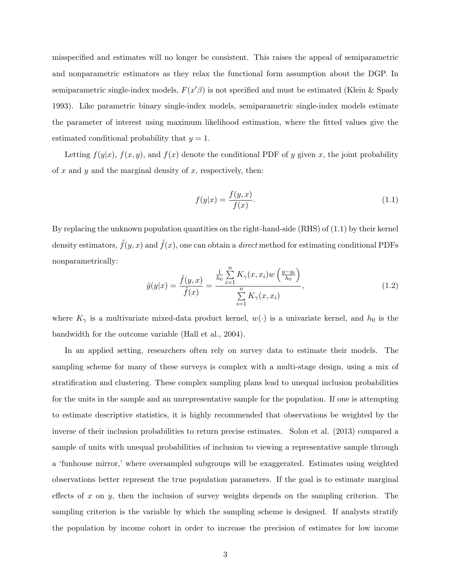misspecified and estimates will no longer be consistent. This raises the appeal of semiparametric and nonparametric estimators as they relax the functional form assumption about the DGP. In semiparametric single-index models,  $F(x'\beta)$  is not specified and must be estimated (Klein & Spady 1993). Like parametric binary single-index models, semiparametric single-index models estimate the parameter of interest using maximum likelihood estimation, where the fitted values give the estimated conditional probability that  $y = 1$ .

Letting  $f(y|x)$ ,  $f(x, y)$ , and  $f(x)$  denote the conditional PDF of y given x, the joint probability of  $x$  and  $y$  and the marginal density of  $x$ , respectively, then:

$$
f(y|x) = \frac{f(y,x)}{f(x)}.
$$
 (1.1)

By replacing the unknown population quantities on the right-hand-side (RHS) of (1.1) by their kernel density estimators,  $\tilde{f}(y, x)$  and  $\tilde{f}(x)$ , one can obtain a *direct* method for estimating conditional PDFs nonparametrically:

$$
\tilde{g}(y|x) = \frac{\tilde{f}(y,x)}{\tilde{f}(x)} = \frac{\frac{1}{h_0} \sum_{i=1}^{n} K_{\gamma}(x,x_i) w\left(\frac{y-y_i}{h_0}\right)}{\sum_{i=1}^{n} K_{\gamma}(x,x_i)},
$$
\n(1.2)

where  $K_{\gamma}$  is a multivariate mixed-data product kernel,  $w(\cdot)$  is a univariate kernel, and  $h_0$  is the bandwidth for the outcome variable (Hall et al., 2004).

In an applied setting, researchers often rely on survey data to estimate their models. The sampling scheme for many of these surveys is complex with a multi-stage design, using a mix of stratification and clustering. These complex sampling plans lead to unequal inclusion probabilities for the units in the sample and an unrepresentative sample for the population. If one is attempting to estimate descriptive statistics, it is highly recommended that observations be weighted by the inverse of their inclusion probabilities to return precise estimates. Solon et al. (2013) compared a sample of units with unequal probabilities of inclusion to viewing a representative sample through a 'funhouse mirror,' where oversampled subgroups will be exaggerated. Estimates using weighted observations better represent the true population parameters. If the goal is to estimate marginal effects of x on y, then the inclusion of survey weights depends on the sampling criterion. The sampling criterion is the variable by which the sampling scheme is designed. If analysts stratify the population by income cohort in order to increase the precision of estimates for low income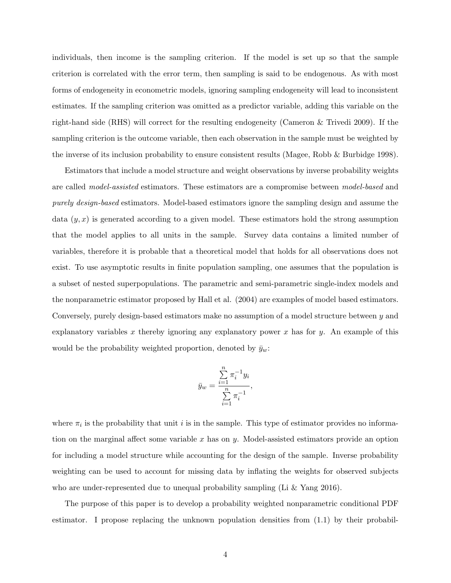individuals, then income is the sampling criterion. If the model is set up so that the sample criterion is correlated with the error term, then sampling is said to be endogenous. As with most forms of endogeneity in econometric models, ignoring sampling endogeneity will lead to inconsistent estimates. If the sampling criterion was omitted as a predictor variable, adding this variable on the right-hand side (RHS) will correct for the resulting endogeneity (Cameron & Trivedi 2009). If the sampling criterion is the outcome variable, then each observation in the sample must be weighted by the inverse of its inclusion probability to ensure consistent results (Magee, Robb & Burbidge 1998).

Estimators that include a model structure and weight observations by inverse probability weights are called *model-assisted* estimators. These estimators are a compromise between *model-based* and purely design-based estimators. Model-based estimators ignore the sampling design and assume the data  $(y, x)$  is generated according to a given model. These estimators hold the strong assumption that the model applies to all units in the sample. Survey data contains a limited number of variables, therefore it is probable that a theoretical model that holds for all observations does not exist. To use asymptotic results in finite population sampling, one assumes that the population is a subset of nested superpopulations. The parametric and semi-parametric single-index models and the nonparametric estimator proposed by Hall et al. (2004) are examples of model based estimators. Conversely, purely design-based estimators make no assumption of a model structure between y and explanatory variables x thereby ignoring any explanatory power x has for y. An example of this would be the probability weighted proportion, denoted by  $\bar{y}_w$ :

$$
\bar{y}_w = \frac{\sum_{i=1}^n \pi_i^{-1} y_i}{\sum_{i=1}^n \pi_i^{-1}},
$$

where  $\pi_i$  is the probability that unit i is in the sample. This type of estimator provides no information on the marginal affect some variable  $x$  has on  $y$ . Model-assisted estimators provide an option for including a model structure while accounting for the design of the sample. Inverse probability weighting can be used to account for missing data by inflating the weights for observed subjects who are under-represented due to unequal probability sampling (Li  $&$  Yang 2016).

The purpose of this paper is to develop a probability weighted nonparametric conditional PDF estimator. I propose replacing the unknown population densities from (1.1) by their probabil-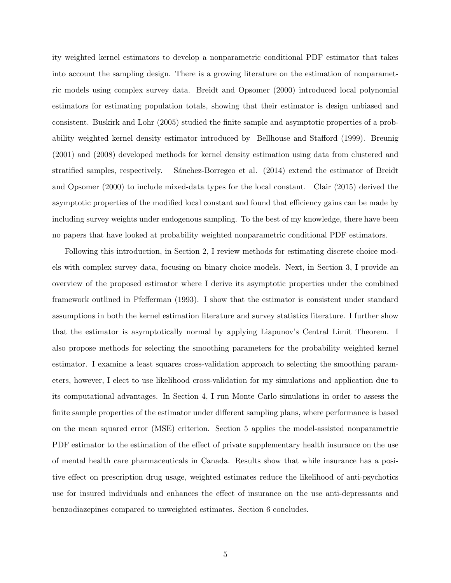ity weighted kernel estimators to develop a nonparametric conditional PDF estimator that takes into account the sampling design. There is a growing literature on the estimation of nonparametric models using complex survey data. Breidt and Opsomer (2000) introduced local polynomial estimators for estimating population totals, showing that their estimator is design unbiased and consistent. Buskirk and Lohr (2005) studied the finite sample and asymptotic properties of a probability weighted kernel density estimator introduced by Bellhouse and Stafford (1999). Breunig (2001) and (2008) developed methods for kernel density estimation using data from clustered and stratified samples, respectively. Sánchez-Borregeo et al. (2014) extend the estimator of Breidt and Opsomer (2000) to include mixed-data types for the local constant. Clair (2015) derived the asymptotic properties of the modified local constant and found that efficiency gains can be made by including survey weights under endogenous sampling. To the best of my knowledge, there have been no papers that have looked at probability weighted nonparametric conditional PDF estimators.

Following this introduction, in Section 2, I review methods for estimating discrete choice models with complex survey data, focusing on binary choice models. Next, in Section 3, I provide an overview of the proposed estimator where I derive its asymptotic properties under the combined framework outlined in Pfefferman (1993). I show that the estimator is consistent under standard assumptions in both the kernel estimation literature and survey statistics literature. I further show that the estimator is asymptotically normal by applying Liapunov's Central Limit Theorem. I also propose methods for selecting the smoothing parameters for the probability weighted kernel estimator. I examine a least squares cross-validation approach to selecting the smoothing parameters, however, I elect to use likelihood cross-validation for my simulations and application due to its computational advantages. In Section 4, I run Monte Carlo simulations in order to assess the finite sample properties of the estimator under different sampling plans, where performance is based on the mean squared error (MSE) criterion. Section 5 applies the model-assisted nonparametric PDF estimator to the estimation of the effect of private supplementary health insurance on the use of mental health care pharmaceuticals in Canada. Results show that while insurance has a positive effect on prescription drug usage, weighted estimates reduce the likelihood of anti-psychotics use for insured individuals and enhances the effect of insurance on the use anti-depressants and benzodiazepines compared to unweighted estimates. Section 6 concludes.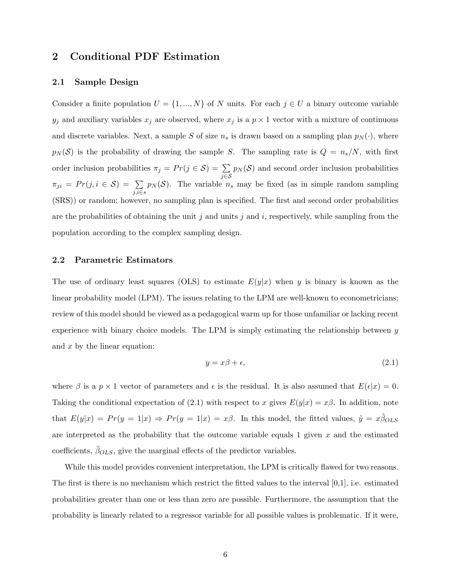# 2 Conditional PDF Estimation

#### 2.1 Sample Design

Consider a finite population  $U = \{1, ..., N\}$  of N units. For each  $j \in U$  a binary outcome variable  $y_j$  and auxiliary variables  $x_j$  are observed, where  $x_j$  is a  $p \times 1$  vector with a mixture of continuous and discrete variables. Next, a sample S of size  $n_s$  is drawn based on a sampling plan  $p_N(\cdot)$ , where  $p_N(\mathcal{S})$  is the probability of drawing the sample S. The sampling rate is  $Q = n_s/N$ , with first order inclusion probabilities  $\pi_j = Pr(j \in S) = \sum$ j∈S  $p_N(\mathcal{S})$  and second order inclusion probabilities  $\pi_{ji} = Pr(j, i \in S) = \sum$ j,i∈s  $p_N(\mathcal{S})$ . The variable  $n_s$  may be fixed (as in simple random sampling (SRS)) or random; however, no sampling plan is specified. The first and second order probabilities are the probabilities of obtaining the unit j and units j and  $i$ , respectively, while sampling from the population according to the complex sampling design.

#### 2.2 Parametric Estimators

The use of ordinary least squares (OLS) to estimate  $E(y|x)$  when y is binary is known as the linear probability model (LPM). The issues relating to the LPM are well-known to econometricians; review of this model should be viewed as a pedagogical warm up for those unfamiliar or lacking recent experience with binary choice models. The LPM is simply estimating the relationship between  $y$ and x by the linear equation:

$$
y = x\beta + \epsilon,\tag{2.1}
$$

where  $\beta$  is a  $p \times 1$  vector of parameters and  $\epsilon$  is the residual. It is also assumed that  $E(\epsilon|x) = 0$ . Taking the conditional expectation of (2.1) with respect to x gives  $E(y|x) = x\beta$ . In addition, note that  $E(y|x) = Pr(y = 1|x) \Rightarrow Pr(y = 1|x) = x\beta$ . In this model, the fitted values,  $\tilde{y} = x\tilde{\beta}_{OLS}$ are interpreted as the probability that the outcome variable equals 1 given  $x$  and the estimated coefficients,  $\beta_{OLS}$ , give the marginal effects of the predictor variables.

While this model provides convenient interpretation, the LPM is critically flawed for two reasons. The first is there is no mechanism which restrict the fitted values to the interval  $[0,1]$ , i.e. estimated probabilities greater than one or less than zero are possible. Furthermore, the assumption that the probability is linearly related to a regressor variable for all possible values is problematic. If it were,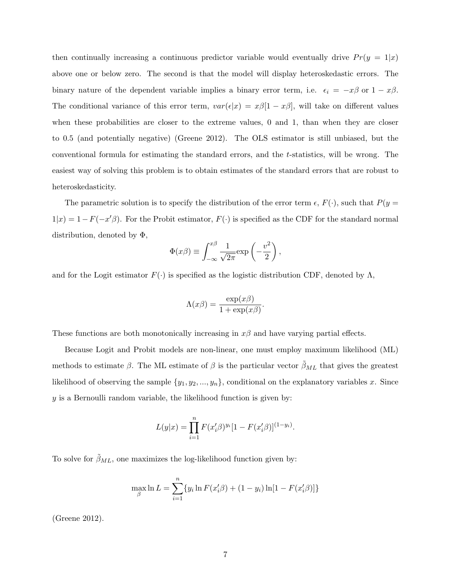then continually increasing a continuous predictor variable would eventually drive  $Pr(y = 1|x)$ above one or below zero. The second is that the model will display heteroskedastic errors. The binary nature of the dependent variable implies a binary error term, i.e.  $\epsilon_i = -x\beta$  or  $1 - x\beta$ . The conditional variance of this error term,  $var(\epsilon|x) = x\beta[1-x\beta]$ , will take on different values when these probabilities are closer to the extreme values, 0 and 1, than when they are closer to 0.5 (and potentially negative) (Greene 2012). The OLS estimator is still unbiased, but the conventional formula for estimating the standard errors, and the t-statistics, will be wrong. The easiest way of solving this problem is to obtain estimates of the standard errors that are robust to heteroskedasticity.

The parametric solution is to specify the distribution of the error term  $\epsilon$ ,  $F(\cdot)$ , such that  $P(y =$  $1|x|=1-F(-x'\beta)$ . For the Probit estimator,  $F(\cdot)$  is specified as the CDF for the standard normal distribution, denoted by Φ,

$$
\Phi(x\beta) \equiv \int_{-\infty}^{x\beta} \frac{1}{\sqrt{2\pi}} \exp\left(-\frac{v^2}{2}\right),
$$

and for the Logit estimator  $F(\cdot)$  is specified as the logistic distribution CDF, denoted by  $\Lambda$ ,

$$
\Lambda(x\beta) = \frac{\exp(x\beta)}{1 + \exp(x\beta)}.
$$

These functions are both monotonically increasing in  $x\beta$  and have varying partial effects.

Because Logit and Probit models are non-linear, one must employ maximum likelihood (ML) methods to estimate  $\beta$ . The ML estimate of  $\beta$  is the particular vector  $\tilde{\beta}_{ML}$  that gives the greatest likelihood of observing the sample  $\{y_1, y_2, ..., y_n\}$ , conditional on the explanatory variables x. Since  $y$  is a Bernoulli random variable, the likelihood function is given by:

$$
L(y|x) = \prod_{i=1}^{n} F(x'_i \beta)^{y_i} [1 - F(x'_i \beta)]^{(1-y_i)}.
$$

To solve for  $\tilde{\beta}_{ML}$ , one maximizes the log-likelihood function given by:

$$
\max_{\beta} \ln L = \sum_{i=1}^{n} \{ y_i \ln F(x_i' \beta) + (1 - y_i) \ln [1 - F(x_i' \beta)] \}
$$

(Greene 2012).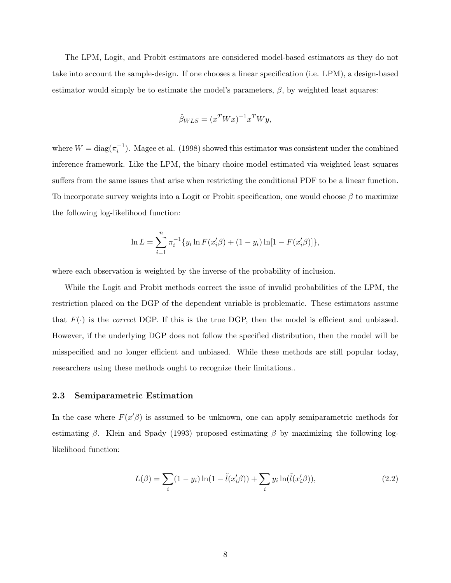The LPM, Logit, and Probit estimators are considered model-based estimators as they do not take into account the sample-design. If one chooses a linear specification (i.e. LPM), a design-based estimator would simply be to estimate the model's parameters,  $\beta$ , by weighted least squares:

$$
\hat{\beta}_{WLS} = (x^T W x)^{-1} x^T W y,
$$

where  $W = \text{diag}(\pi_i^{-1})$ . Magee et al. (1998) showed this estimator was consistent under the combined inference framework. Like the LPM, the binary choice model estimated via weighted least squares suffers from the same issues that arise when restricting the conditional PDF to be a linear function. To incorporate survey weights into a Logit or Probit specification, one would choose  $\beta$  to maximize the following log-likelihood function:

$$
\ln L = \sum_{i=1}^{n} \pi_i^{-1} \{ y_i \ln F(x_i' \beta) + (1 - y_i) \ln[1 - F(x_i' \beta)] \},
$$

where each observation is weighted by the inverse of the probability of inclusion.

While the Logit and Probit methods correct the issue of invalid probabilities of the LPM, the restriction placed on the DGP of the dependent variable is problematic. These estimators assume that  $F(\cdot)$  is the *correct* DGP. If this is the true DGP, then the model is efficient and unbiased. However, if the underlying DGP does not follow the specified distribution, then the model will be misspecified and no longer efficient and unbiased. While these methods are still popular today, researchers using these methods ought to recognize their limitations..

#### 2.3 Semiparametric Estimation

In the case where  $F(x' \beta)$  is assumed to be unknown, one can apply semiparametric methods for estimating β. Klein and Spady (1993) proposed estimating β by maximizing the following loglikelihood function:

$$
L(\beta) = \sum_{i} (1 - y_i) \ln(1 - \tilde{l}(x_i'\beta)) + \sum_{i} y_i \ln(\tilde{l}(x_i'\beta)),
$$
\n(2.2)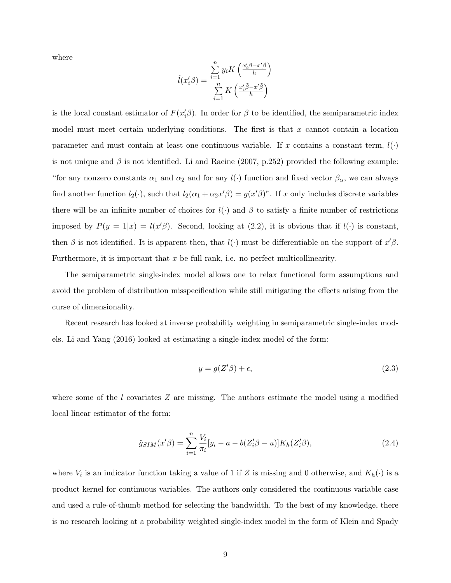where

$$
\tilde{l}(x_i'\beta) = \frac{\sum\limits_{i=1}^{n} y_i K\left(\frac{x_i'\tilde{\beta} - x'\tilde{\beta}}{h}\right)}{\sum\limits_{i=1}^{n} K\left(\frac{x_i'\tilde{\beta} - x'\tilde{\beta}}{h}\right)}
$$

is the local constant estimator of  $F(x_i' \beta)$ . In order for  $\beta$  to be identified, the semiparametric index model must meet certain underlying conditions. The first is that  $x$  cannot contain a location parameter and must contain at least one continuous variable. If x contains a constant term,  $l(\cdot)$ is not unique and  $\beta$  is not identified. Li and Racine (2007, p.252) provided the following example: "for any nonzero constants  $\alpha_1$  and  $\alpha_2$  and for any  $l(\cdot)$  function and fixed vector  $\beta_\alpha$ , we can always find another function  $l_2(\cdot)$ , such that  $l_2(\alpha_1 + \alpha_2 x'\beta) = g(x'\beta)$ ". If x only includes discrete variables there will be an infinite number of choices for  $l(\cdot)$  and  $\beta$  to satisfy a finite number of restrictions imposed by  $P(y = 1|x) = l(x'\beta)$ . Second, looking at (2.2), it is obvious that if  $l(\cdot)$  is constant, then  $\beta$  is not identified. It is apparent then, that  $l(\cdot)$  must be differentiable on the support of  $x'\beta$ . Furthermore, it is important that  $x$  be full rank, i.e. no perfect multicollinearity.

The semiparametric single-index model allows one to relax functional form assumptions and avoid the problem of distribution misspecification while still mitigating the effects arising from the curse of dimensionality.

Recent research has looked at inverse probability weighting in semiparametric single-index models. Li and Yang (2016) looked at estimating a single-index model of the form:

$$
y = g(Z'\beta) + \epsilon,\tag{2.3}
$$

where some of the l covariates  $Z$  are missing. The authors estimate the model using a modified local linear estimator of the form:

$$
\hat{g}_{SIM}(x'\beta) = \sum_{i=1}^{n} \frac{V_i}{\pi_i} [y_i - a - b(Z_i'\beta - u)] K_h(Z_i'\beta), \qquad (2.4)
$$

where  $V_i$  is an indicator function taking a value of 1 if Z is missing and 0 otherwise, and  $K_h(\cdot)$  is a product kernel for continuous variables. The authors only considered the continuous variable case and used a rule-of-thumb method for selecting the bandwidth. To the best of my knowledge, there is no research looking at a probability weighted single-index model in the form of Klein and Spady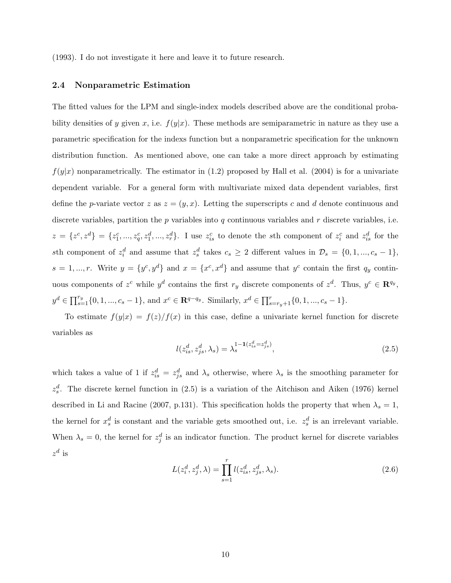(1993). I do not investigate it here and leave it to future research.

#### 2.4 Nonparametric Estimation

The fitted values for the LPM and single-index models described above are the conditional probability densities of y given x, i.e.  $f(y|x)$ . These methods are semiparametric in nature as they use a parametric specification for the indexs function but a nonparametric specification for the unknown distribution function. As mentioned above, one can take a more direct approach by estimating  $f(y|x)$  nonparametrically. The estimator in (1.2) proposed by Hall et al. (2004) is for a univariate dependent variable. For a general form with multivariate mixed data dependent variables, first define the *p*-variate vector z as  $z = (y, x)$ . Letting the superscripts c and d denote continuous and discrete variables, partition the p variables into q continuous variables and r discrete variables, i.e.  $z = \{z^c, z^d\} = \{z_1^c, ..., z_q^c, z_1^d, ..., z_r^d\}$ . I use  $z_{is}^c$  to denote the sth component of  $z_i^c$  and  $z_{is}^d$  for the sth component of  $z_i^d$  and assume that  $z_s^d$  takes  $c_s \geq 2$  different values in  $\mathcal{D}_s = \{0, 1, ..., c_s - 1\},\$  $s = 1, ..., r$ . Write  $y = \{y^c, y^d\}$  and  $x = \{x^c, x^d\}$  and assume that  $y^c$  contain the first  $q_y$  continuous components of  $z^c$  while  $y^d$  contains the first  $r_y$  discrete components of  $z^d$ . Thus,  $y^c \in \mathbb{R}^{q_y}$ ,  $y^d \in \prod_{s=1}^{r_y} \{0, 1, ..., c_s - 1\}$ , and  $x^c \in \mathbb{R}^{q-q_y}$ . Similarly,  $x^d \in \prod_{s=r_y+1}^{r} \{0, 1, ..., c_s - 1\}$ .

To estimate  $f(y|x) = f(z)/f(x)$  in this case, define a univariate kernel function for discrete variables as

$$
l(z_{is}^d, z_{js}^d, \lambda_s) = \lambda_s^{1 - 1(z_{is}^d = z_{js}^d)},
$$
\n(2.5)

which takes a value of 1 if  $z_{is}^d = z_{js}^d$  and  $\lambda_s$  otherwise, where  $\lambda_s$  is the smoothing parameter for  $z_s^d$ . The discrete kernel function in (2.5) is a variation of the Aitchison and Aiken (1976) kernel described in Li and Racine (2007, p.131). This specification holds the property that when  $\lambda_s = 1$ , the kernel for  $x_s^d$  is constant and the variable gets smoothed out, i.e.  $z_s^d$  is an irrelevant variable. When  $\lambda_s = 0$ , the kernel for  $z_j^d$  is an indicator function. The product kernel for discrete variables  $z^d$  is

$$
L(z_i^d, z_j^d, \lambda) = \prod_{s=1}^r l(z_{is}^d, z_{js}^d, \lambda_s).
$$
 (2.6)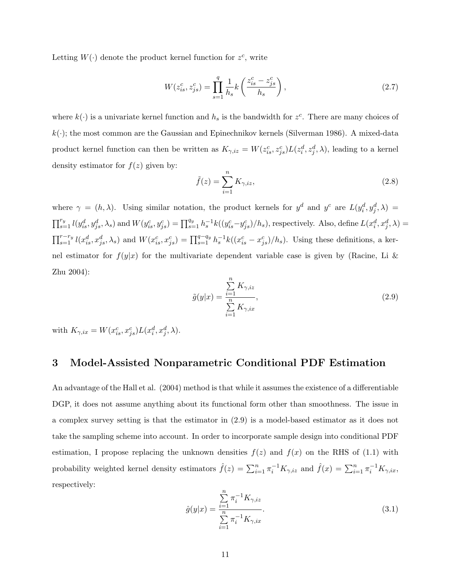Letting  $W(\cdot)$  denote the product kernel function for  $z^c$ , write

$$
W(z_{is}^c, z_{js}^c) = \prod_{s=1}^q \frac{1}{h_s} k\left(\frac{z_{is}^c - z_{js}^c}{h_s}\right),\tag{2.7}
$$

where  $k(\cdot)$  is a univariate kernel function and  $h_s$  is the bandwidth for  $z^c$ . There are many choices of  $k(\cdot)$ ; the most common are the Gaussian and Epinechnikov kernels (Silverman 1986). A mixed-data product kernel function can then be written as  $K_{\gamma,iz} = W(z_i^c, z_j^c) L(z_i^d, z_j^d, \lambda)$ , leading to a kernel density estimator for  $f(z)$  given by:

$$
\tilde{f}(z) = \sum_{i=1}^{n} K_{\gamma, iz},\tag{2.8}
$$

where  $\gamma = (h, \lambda)$ . Using similar notation, the product kernels for  $y^d$  and  $y^c$  are  $L(y_i^d, y_j^d, \lambda) =$  $\prod_{s=1}^{r_y} l(y_{is}^d, y_{js}^d, \lambda_s)$  and  $W(y_{is}^c, y_{js}^c) = \prod_{s=1}^{q_y} h_s^{-1} k((y_{is}^c - y_{js}^c)/h_s)$ , respectively. Also, define  $L(x_i^d, x_j^d, \lambda) =$  $\prod_{s=1}^{r-r_y} l(x_{is}^d, x_{js}^d, \lambda_s)$  and  $W(x_{is}^c, x_{js}^c) = \prod_{s=1}^{q-q_y} h_s^{-1} k((x_{is}^c - x_{js}^c)/h_s)$ . Using these definitions, a kernel estimator for  $f(y|x)$  for the multivariate dependent variable case is given by (Racine, Li & Zhu 2004):

$$
\tilde{g}(y|x) = \frac{\sum_{i=1}^{n} K_{\gamma, iz}}{\sum_{i=1}^{n} K_{\gamma, ix}},
$$
\n(2.9)

with  $K_{\gamma, ix} = W(x_i^c, x_j^c) L(x_i^d, x_j^d, \lambda).$ 

# 3 Model-Assisted Nonparametric Conditional PDF Estimation

An advantage of the Hall et al. (2004) method is that while it assumes the existence of a differentiable DGP, it does not assume anything about its functional form other than smoothness. The issue in a complex survey setting is that the estimator in (2.9) is a model-based estimator as it does not take the sampling scheme into account. In order to incorporate sample design into conditional PDF estimation, I propose replacing the unknown densities  $f(z)$  and  $f(x)$  on the RHS of (1.1) with probability weighted kernel density estimators  $\hat{f}(z) = \sum_{i=1}^{n} \pi_i^{-1} K_{\gamma,iz}$  and  $\hat{f}(x) = \sum_{i=1}^{n} \pi_i^{-1} K_{\gamma,ix}$ , respectively:

$$
\hat{g}(y|x) = \frac{\sum_{i=1}^{n} \pi_i^{-1} K_{\gamma, iz}}{\sum_{i=1}^{n} \pi_i^{-1} K_{\gamma, ix}}.
$$
\n(3.1)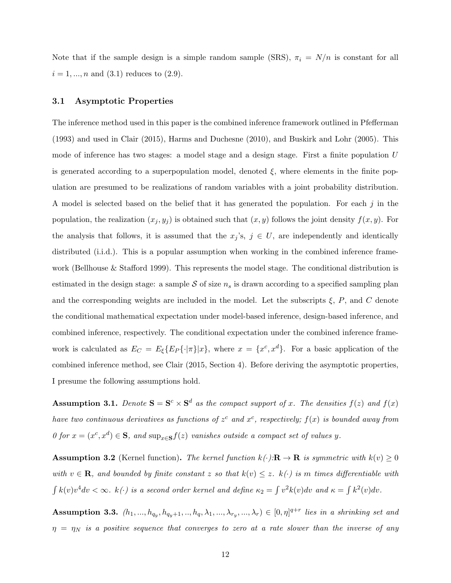Note that if the sample design is a simple random sample (SRS),  $\pi_i = N/n$  is constant for all  $i = 1, ..., n$  and  $(3.1)$  reduces to  $(2.9)$ .

#### 3.1 Asymptotic Properties

The inference method used in this paper is the combined inference framework outlined in Pfefferman (1993) and used in Clair (2015), Harms and Duchesne (2010), and Buskirk and Lohr (2005). This mode of inference has two stages: a model stage and a design stage. First a finite population U is generated according to a superpopulation model, denoted  $\xi$ , where elements in the finite population are presumed to be realizations of random variables with a joint probability distribution. A model is selected based on the belief that it has generated the population. For each  $j$  in the population, the realization  $(x_j, y_j)$  is obtained such that  $(x, y)$  follows the joint density  $f(x, y)$ . For the analysis that follows, it is assumed that the  $x_j$ 's,  $j \in U$ , are independently and identically distributed (i.i.d.). This is a popular assumption when working in the combined inference framework (Bellhouse & Stafford 1999). This represents the model stage. The conditional distribution is estimated in the design stage: a sample  $S$  of size  $n<sub>s</sub>$  is drawn according to a specified sampling plan and the corresponding weights are included in the model. Let the subscripts  $\xi$ , P, and C denote the conditional mathematical expectation under model-based inference, design-based inference, and combined inference, respectively. The conditional expectation under the combined inference framework is calculated as  $E_C = E_{\xi} \{ E_P \{\cdot | \pi \}| x \}$ , where  $x = \{x^c, x^d\}$ . For a basic application of the combined inference method, see Clair (2015, Section 4). Before deriving the asymptotic properties, I presume the following assumptions hold.

**Assumption 3.1.** Denote  $S = S^c \times S^d$  as the compact support of x. The densities  $f(z)$  and  $f(x)$ have two continuous derivatives as functions of  $z^c$  and  $x^c$ , respectively;  $f(x)$  is bounded away from  $0$  for  $x = (x^c, x^d) \in \mathbf{S}$ , and  $\sup_{x \in \mathbf{S}} f(z)$  vanishes outside a compact set of values y.

**Assumption 3.2** (Kernel function). The kernel function  $k(\cdot):\mathbb{R} \to \mathbb{R}$  is symmetric with  $k(v) \geq 0$ with  $v \in \mathbf{R}$ , and bounded by finite constant z so that  $k(v) \leq z$ .  $k(\cdot)$  is m times differentiable with  $\int k(v)v^4 dv < \infty$ .  $k(\cdot)$  is a second order kernel and define  $\kappa_2 = \int v^2k(v)dv$  and  $\kappa = \int k^2(v)dv$ .

Assumption 3.3.  $(h_1, ..., h_{q_y}, h_{q_y+1}, ..., h_q, \lambda_1, ..., \lambda_{r_y}, ..., \lambda_r) \in [0, \eta]^{q+r}$  lies in a shrinking set and  $\eta = \eta_N$  is a positive sequence that converges to zero at a rate slower than the inverse of any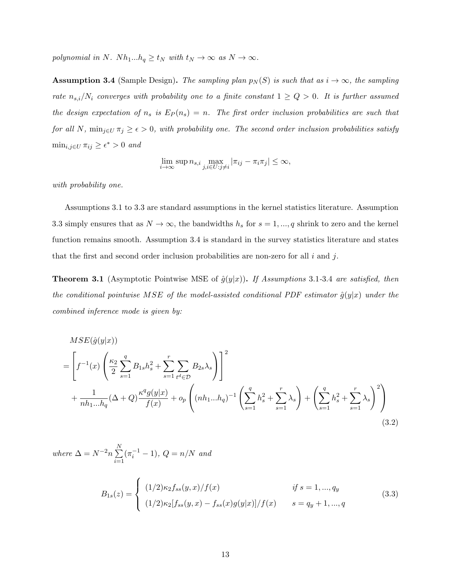polynomial in N. Nh<sub>1</sub>...h<sub>q</sub>  $\geq t_N$  with  $t_N \to \infty$  as  $N \to \infty$ .

**Assumption 3.4** (Sample Design). The sampling plan  $p_N(S)$  is such that as  $i \to \infty$ , the sampling rate  $n_{s,i}/N_i$  converges with probability one to a finite constant  $1 \ge Q > 0$ . It is further assumed the design expectation of  $n_s$  is  $E_P(n_s) = n$ . The first order inclusion probabilities are such that for all N,  $\min_{j\in U} \pi_j \geq \epsilon > 0$ , with probability one. The second order inclusion probabilities satisfy  $\min_{i,j\in U} \pi_{ij} \geq \epsilon^* > 0$  and

$$
\lim_{i \to \infty} \sup n_{s,i} \max_{j,i \in U : j \neq i} |\pi_{ij} - \pi_i \pi_j| \le \infty,
$$

with probability one.

Assumptions 3.1 to 3.3 are standard assumptions in the kernel statistics literature. Assumption 3.3 simply ensures that as  $N \to \infty$ , the bandwidths  $h_s$  for  $s = 1, ..., q$  shrink to zero and the kernel function remains smooth. Assumption 3.4 is standard in the survey statistics literature and states that the first and second order inclusion probabilities are non-zero for all  $i$  and  $j$ .

**Theorem 3.1** (Asymptotic Pointwise MSE of  $\hat{g}(y|x)$ ). If Assumptions 3.1-3.4 are satisfied, then the conditional pointwise MSE of the model-assisted conditional PDF estimator  $\hat{g}(y|x)$  under the combined inference mode is given by:

$$
MSE(\hat{g}(y|x))
$$
  
=  $\left[ f^{-1}(x) \left( \frac{\kappa_2}{2} \sum_{s=1}^q B_{1s} h_s^2 + \sum_{s=1}^r \sum_{t^d \in \mathcal{D}} B_{2s} \lambda_s \right) \right]^2$   
+  $\frac{1}{n h_1 ... h_q} (\Delta + Q) \frac{\kappa^q g(y|x)}{f(x)} + o_p \left( (n h_1 ... h_q)^{-1} \left( \sum_{s=1}^q h_s^2 + \sum_{s=1}^r \lambda_s \right) + \left( \sum_{s=1}^q h_s^2 + \sum_{s=1}^r \lambda_s \right)^2 \right)$  (3.2)

where 
$$
\Delta = N^{-2}n \sum_{i=1}^{N} (\pi_i^{-1} - 1)
$$
,  $Q = n/N$  and

$$
B_{1s}(z) = \begin{cases} (1/2)\kappa_2 f_{ss}(y,x)/f(x) & \text{if } s = 1, ..., q_y \\ (1/2)\kappa_2[f_{ss}(y,x) - f_{ss}(x)g(y|x)]/f(x) & s = q_y + 1, ..., q \end{cases}
$$
(3.3)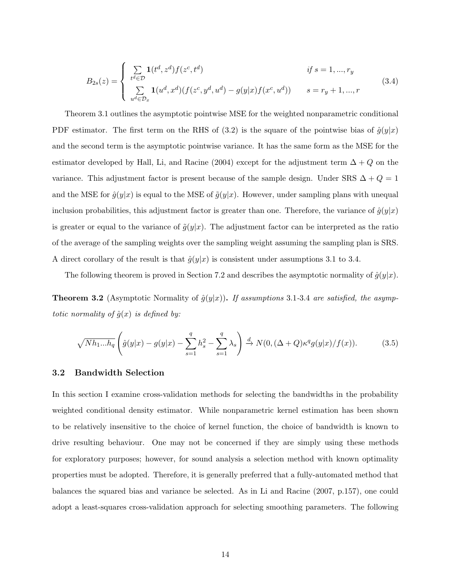$$
B_{2s}(z) = \begin{cases} \sum_{t^d \in \mathcal{D}} \mathbf{1}(t^d, z^d) f(z^c, t^d) & \text{if } s = 1, ..., r_y \\ \sum_{u^d \in \mathcal{D}_x} \mathbf{1}(u^d, x^d) (f(z^c, y^d, u^d) - g(y|x) f(x^c, u^d)) & s = r_y + 1, ..., r \end{cases}
$$
(3.4)

Theorem 3.1 outlines the asymptotic pointwise MSE for the weighted nonparametric conditional PDF estimator. The first term on the RHS of (3.2) is the square of the pointwise bias of  $\hat{g}(y|x)$ and the second term is the asymptotic pointwise variance. It has the same form as the MSE for the estimator developed by Hall, Li, and Racine (2004) except for the adjustment term  $\Delta + Q$  on the variance. This adjustment factor is present because of the sample design. Under SRS  $\Delta + Q = 1$ and the MSE for  $\hat{g}(y|x)$  is equal to the MSE of  $\tilde{g}(y|x)$ . However, under sampling plans with unequal inclusion probabilities, this adjustment factor is greater than one. Therefore, the variance of  $\hat{g}(y|x)$ is greater or equal to the variance of  $\tilde{g}(y|x)$ . The adjustment factor can be interpreted as the ratio of the average of the sampling weights over the sampling weight assuming the sampling plan is SRS. A direct corollary of the result is that  $\hat{g}(y|x)$  is consistent under assumptions 3.1 to 3.4.

The following theorem is proved in Section 7.2 and describes the asymptotic normality of  $\hat{g}(y|x)$ .

**Theorem 3.2** (Asymptotic Normality of  $\hat{g}(y|x)$ ). If assumptions 3.1-3.4 are satisfied, the asymptotic normality of  $\hat{g}(x)$  is defined by:

$$
\sqrt{Nh_1...h_q}\left(\hat{g}(y|x) - g(y|x) - \sum_{s=1}^q h_s^2 - \sum_{s=1}^q \lambda_s\right) \stackrel{d}{\to} N(0, (\Delta + Q)\kappa^q g(y|x)/f(x)).\tag{3.5}
$$

#### 3.2 Bandwidth Selection

In this section I examine cross-validation methods for selecting the bandwidths in the probability weighted conditional density estimator. While nonparametric kernel estimation has been shown to be relatively insensitive to the choice of kernel function, the choice of bandwidth is known to drive resulting behaviour. One may not be concerned if they are simply using these methods for exploratory purposes; however, for sound analysis a selection method with known optimality properties must be adopted. Therefore, it is generally preferred that a fully-automated method that balances the squared bias and variance be selected. As in Li and Racine (2007, p.157), one could adopt a least-squares cross-validation approach for selecting smoothing parameters. The following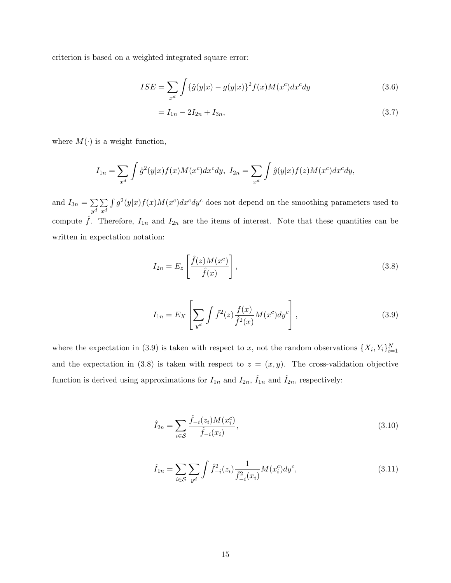criterion is based on a weighted integrated square error:

$$
ISE = \sum_{x^d} \int {\{\hat{g}(y|x) - g(y|x)\}^2 f(x) M(x^c) dx^c dy}
$$
\n(3.6)

$$
=I_{1n}-2I_{2n}+I_{3n}, \t\t(3.7)
$$

where  $M(\cdot)$  is a weight function,

$$
I_{1n} = \sum_{x^d} \int \hat{g}^2(y|x) f(x) M(x^c) dx^c dy, I_{2n} = \sum_{x^d} \int \hat{g}(y|x) f(z) M(x^c) dx^c dy,
$$

and  $I_{3n} = \sum$  $\sum_{y^d}\sum_{x^d}$  $x^d$  $\int g^2(y|x)f(x)M(x^c)dx^c dy^c$  does not depend on the smoothing parameters used to compute  $\hat{f}$ . Therefore,  $I_{1n}$  and  $I_{2n}$  are the items of interest. Note that these quantities can be written in expectation notation:

$$
I_{2n} = E_z \left[ \frac{\hat{f}(z)M(x^c)}{\hat{f}(x)} \right],
$$
\n(3.8)

$$
I_{1n} = E_X \left[ \sum_{y^d} \int \hat{f}^2(z) \frac{f(x)}{\hat{f}^2(x)} M(x^c) dy^c \right],\tag{3.9}
$$

where the expectation in (3.9) is taken with respect to x, not the random observations  $\{X_i, Y_i\}_{i=1}^N$ and the expectation in (3.8) is taken with respect to  $z = (x, y)$ . The cross-validation objective function is derived using approximations for  $I_{1n}$  and  $I_{2n}$ ,  $\hat{I}_{1n}$  and  $\hat{I}_{2n}$ , respectively:

$$
\hat{I}_{2n} = \sum_{i \in S} \frac{\hat{f}_{-i}(z_i) M(x_i^c)}{\hat{f}_{-i}(x_i)},
$$
\n(3.10)

$$
\hat{I}_{1n} = \sum_{i \in S} \sum_{y^d} \int \hat{f}_{-i}^2(z_i) \frac{1}{\hat{f}_{-i}^2(x_i)} M(x_i^c) dy^c,
$$
\n(3.11)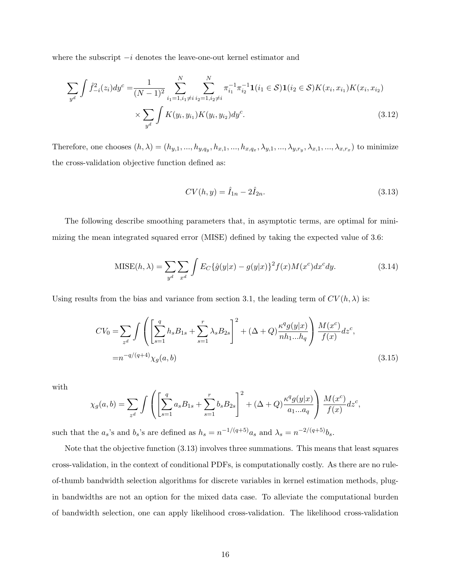where the subscript  $-i$  denotes the leave-one-out kernel estimator and

$$
\sum_{y^d} \int \hat{f}_{-i}^2(z_i) dy^c = \frac{1}{(N-1)^2} \sum_{i_1=1, i_1 \neq i}^{N} \sum_{i_2=1, i_2 \neq i}^{N} \pi_{i_1}^{-1} \pi_{i_2}^{-1} \mathbf{1}(i_1 \in \mathcal{S}) \mathbf{1}(i_2 \in \mathcal{S}) K(x_i, x_{i_1}) K(x_i, x_{i_2})
$$

$$
\times \sum_{y^d} \int K(y_i, y_{i_1}) K(y_i, y_{i_2}) dy^c.
$$
(3.12)

Therefore, one chooses  $(h, \lambda) = (h_{y,1}, ..., h_{y,q_y}, h_{x,1}, ..., h_{x,q_x}, \lambda_{y,1}, ..., \lambda_{y,r_y}, \lambda_{x,1}, ..., \lambda_{x,r_x})$  to minimize the cross-validation objective function defined as:

$$
CV(h, y) = \hat{I}_{1n} - 2\hat{I}_{2n}.
$$
\n(3.13)

The following describe smoothing parameters that, in asymptotic terms, are optimal for minimizing the mean integrated squared error (MISE) defined by taking the expected value of 3.6:

$$
\text{MISE}(h,\lambda) = \sum_{y^d} \sum_{x^d} \int E_C\{\hat{g}(y|x) - g(y|x)\}^2 f(x) M(x^c) dx^c dy. \tag{3.14}
$$

Using results from the bias and variance from section 3.1, the leading term of  $CV(h, \lambda)$  is:

$$
CV_0 = \sum_{z^d} \int \left( \left[ \sum_{s=1}^q h_s B_{1s} + \sum_{s=1}^r \lambda_s B_{2s} \right]^2 + (\Delta + Q) \frac{\kappa^q g(y|x)}{nh_1...h_q} \right) \frac{M(x^c)}{f(x)} dz^c,
$$
  
=  $n^{-q/(q+4)} \chi_g(a, b)$  (3.15)

with

$$
\chi_g(a,b) = \sum_{z^d} \int \left( \left[ \sum_{s=1}^q a_s B_{1s} + \sum_{s=1}^r b_s B_{2s} \right]^2 + (\Delta + Q) \frac{\kappa^q g(y|x)}{a_1...a_q} \right) \frac{M(x^c)}{f(x)} dz^c,
$$

such that the  $a_s$ 's and  $b_s$ 's are defined as  $h_s = n^{-1/(q+5)}a_s$  and  $\lambda_s = n^{-2/(q+5)}b_s$ .

Note that the objective function (3.13) involves three summations. This means that least squares cross-validation, in the context of conditional PDFs, is computationally costly. As there are no ruleof-thumb bandwidth selection algorithms for discrete variables in kernel estimation methods, plugin bandwidths are not an option for the mixed data case. To alleviate the computational burden of bandwidth selection, one can apply likelihood cross-validation. The likelihood cross-validation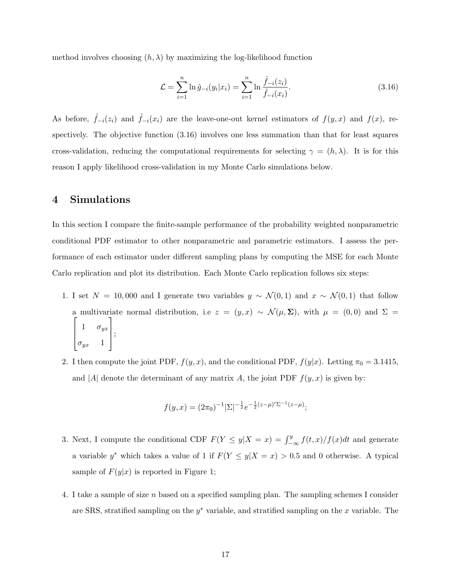method involves choosing  $(h, \lambda)$  by maximizing the log-likelihood function

$$
\mathcal{L} = \sum_{i=1}^{n} \ln \hat{g}_{-i}(y_i | x_i) = \sum_{i=1}^{n} \ln \frac{\hat{f}_{-i}(z_i)}{\hat{f}_{-i}(x_i)}.
$$
\n(3.16)

As before,  $\hat{f}_{-i}(z_i)$  and  $\hat{f}_{-i}(x_i)$  are the leave-one-out kernel estimators of  $f(y, x)$  and  $f(x)$ , respectively. The objective function (3.16) involves one less summation than that for least squares cross-validation, reducing the computational requirements for selecting  $\gamma = (h, \lambda)$ . It is for this reason I apply likelihood cross-validation in my Monte Carlo simulations below.

# 4 Simulations

In this section I compare the finite-sample performance of the probability weighted nonparametric conditional PDF estimator to other nonparametric and parametric estimators. I assess the performance of each estimator under different sampling plans by computing the MSE for each Monte Carlo replication and plot its distribution. Each Monte Carlo replication follows six steps:

- 1. I set  $N = 10,000$  and I generate two variables  $y \sim \mathcal{N}(0,1)$  and  $x \sim \mathcal{N}(0,1)$  that follow a multivariate normal distribution, i.e  $z = (y, x) \sim \mathcal{N}(\mu, \Sigma)$ , with  $\mu = (0, 0)$  and  $\Sigma =$  $\sqrt{ }$  $\vert$ 1  $\sigma_{yx}$  $\sigma_{yx}$  1 1  $\vert$
- 2. I then compute the joint PDF,  $f(y, x)$ , and the conditional PDF,  $f(y|x)$ . Letting  $\pi_0 = 3.1415$ , and |A| denote the determinant of any matrix A, the joint PDF  $f(y, x)$  is given by:

$$
f(y,x) = (2\pi_0)^{-1} |\Sigma|^{-\frac{1}{2}} e^{-\frac{1}{2}(z-\mu)'\Sigma^{-1}(z-\mu)};
$$

- 3. Next, I compute the conditional CDF  $F(Y \le y | X = x) = \int_{-\infty}^{y} f(t,x)/f(x)dt$  and generate a variable y<sup>\*</sup> which takes a value of 1 if  $F(Y \leq y | X = x) > 0.5$  and 0 otherwise. A typical sample of  $F(y|x)$  is reported in Figure 1;
- 4. I take a sample of size n based on a specified sampling plan. The sampling schemes I consider are SRS, stratified sampling on the  $y^*$  variable, and stratified sampling on the x variable. The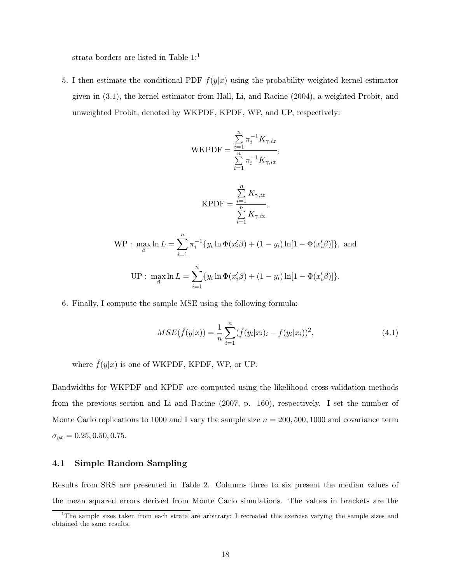strata borders are listed in Table  $1;^1$ 

5. I then estimate the conditional PDF  $f(y|x)$  using the probability weighted kernel estimator given in (3.1), the kernel estimator from Hall, Li, and Racine (2004), a weighted Probit, and unweighted Probit, denoted by WKPDF, KPDF, WP, and UP, respectively:

$$
\text{WKPDF} = \frac{\sum_{i=1}^{n} \pi_i^{-1} K_{\gamma, iz}}{\sum_{i=1}^{n} \pi_i^{-1} K_{\gamma, ix}},
$$
\n
$$
\text{KPDF} = \frac{\sum_{i=1}^{n} K_{\gamma, iz}}{\sum_{i=1}^{n} K_{\gamma, ix}},
$$
\n
$$
\text{WP}: \max_{\beta} \ln L = \sum_{i=1}^{n} \pi_i^{-1} \{ y_i \ln \Phi(x_i' \beta) + (1 - y_i) \ln[1 - \Phi(x_i' \beta)] \},
$$
\n
$$
\text{UP}: \max_{\beta} \ln L = \sum_{i=1}^{n} \{ y_i \ln \Phi(x_i' \beta) + (1 - y_i) \ln[1 - \Phi(x_i' \beta)] \}.
$$

6. Finally, I compute the sample MSE using the following formula:

$$
MSE(\hat{f}(y|x)) = \frac{1}{n} \sum_{i=1}^{n} (\hat{f}(y_i|x_i)_i - f(y_i|x_i))^2,
$$
\n(4.1)

where  $\hat{f}(y|x)$  is one of WKPDF, KPDF, WP, or UP.

Bandwidths for WKPDF and KPDF are computed using the likelihood cross-validation methods from the previous section and Li and Racine (2007, p. 160), respectively. I set the number of Monte Carlo replications to 1000 and I vary the sample size  $n = 200, 500, 1000$  and covariance term  $\sigma_{yx} = 0.25, 0.50, 0.75.$ 

## 4.1 Simple Random Sampling

Results from SRS are presented in Table 2. Columns three to six present the median values of the mean squared errors derived from Monte Carlo simulations. The values in brackets are the

<sup>&</sup>lt;sup>1</sup>The sample sizes taken from each strata are arbitrary; I recreated this exercise varying the sample sizes and obtained the same results.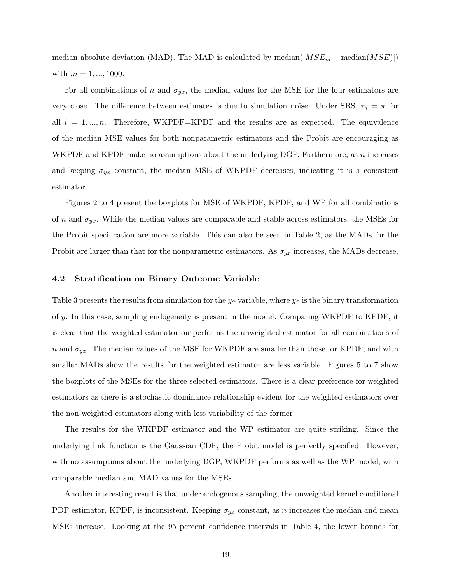median absolute deviation (MAD). The MAD is calculated by median( $|MSE_m$  – median( $MSE$ )) with  $m = 1, ..., 1000$ .

For all combinations of n and  $\sigma_{yx}$ , the median values for the MSE for the four estimators are very close. The difference between estimates is due to simulation noise. Under SRS,  $\pi_i = \pi$  for all  $i = 1, ..., n$ . Therefore, WKPDF=KPDF and the results are as expected. The equivalence of the median MSE values for both nonparametric estimators and the Probit are encouraging as WKPDF and KPDF make no assumptions about the underlying DGP. Furthermore, as n increases and keeping  $\sigma_{yx}$  constant, the median MSE of WKPDF decreases, indicating it is a consistent estimator.

Figures 2 to 4 present the boxplots for MSE of WKPDF, KPDF, and WP for all combinations of n and  $\sigma_{yx}$ . While the median values are comparable and stable across estimators, the MSEs for the Probit specification are more variable. This can also be seen in Table 2, as the MADs for the Probit are larger than that for the nonparametric estimators. As  $\sigma_{yx}$  increases, the MADs decrease.

#### 4.2 Stratification on Binary Outcome Variable

Table 3 presents the results from simulation for the y\* variable, where  $y*$  is the binary transformation of y. In this case, sampling endogeneity is present in the model. Comparing WKPDF to KPDF, it is clear that the weighted estimator outperforms the unweighted estimator for all combinations of n and  $\sigma_{yx}$ . The median values of the MSE for WKPDF are smaller than those for KPDF, and with smaller MADs show the results for the weighted estimator are less variable. Figures 5 to 7 show the boxplots of the MSEs for the three selected estimators. There is a clear preference for weighted estimators as there is a stochastic dominance relationship evident for the weighted estimators over the non-weighted estimators along with less variability of the former.

The results for the WKPDF estimator and the WP estimator are quite striking. Since the underlying link function is the Gaussian CDF, the Probit model is perfectly specified. However, with no assumptions about the underlying DGP, WKPDF performs as well as the WP model, with comparable median and MAD values for the MSEs.

Another interesting result is that under endogenous sampling, the unweighted kernel conditional PDF estimator, KPDF, is inconsistent. Keeping  $\sigma_{yx}$  constant, as n increases the median and mean MSEs increase. Looking at the 95 percent confidence intervals in Table 4, the lower bounds for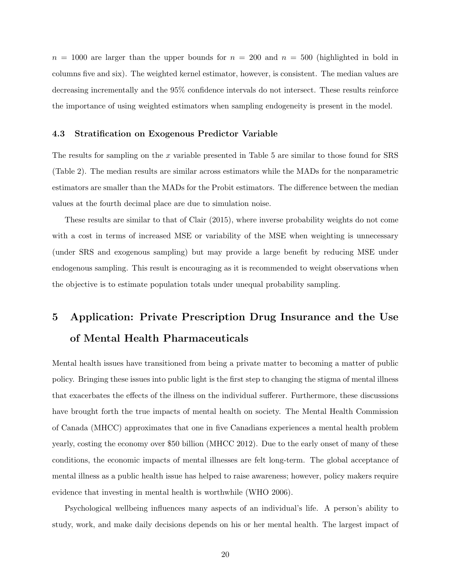$n = 1000$  are larger than the upper bounds for  $n = 200$  and  $n = 500$  (highlighted in bold in columns five and six). The weighted kernel estimator, however, is consistent. The median values are decreasing incrementally and the 95% confidence intervals do not intersect. These results reinforce the importance of using weighted estimators when sampling endogeneity is present in the model.

#### 4.3 Stratification on Exogenous Predictor Variable

The results for sampling on the x variable presented in Table 5 are similar to those found for  $SRS$ (Table 2). The median results are similar across estimators while the MADs for the nonparametric estimators are smaller than the MADs for the Probit estimators. The difference between the median values at the fourth decimal place are due to simulation noise.

These results are similar to that of Clair (2015), where inverse probability weights do not come with a cost in terms of increased MSE or variability of the MSE when weighting is unnecessary (under SRS and exogenous sampling) but may provide a large benefit by reducing MSE under endogenous sampling. This result is encouraging as it is recommended to weight observations when the objective is to estimate population totals under unequal probability sampling.

# 5 Application: Private Prescription Drug Insurance and the Use of Mental Health Pharmaceuticals

Mental health issues have transitioned from being a private matter to becoming a matter of public policy. Bringing these issues into public light is the first step to changing the stigma of mental illness that exacerbates the effects of the illness on the individual sufferer. Furthermore, these discussions have brought forth the true impacts of mental health on society. The Mental Health Commission of Canada (MHCC) approximates that one in five Canadians experiences a mental health problem yearly, costing the economy over \$50 billion (MHCC 2012). Due to the early onset of many of these conditions, the economic impacts of mental illnesses are felt long-term. The global acceptance of mental illness as a public health issue has helped to raise awareness; however, policy makers require evidence that investing in mental health is worthwhile (WHO 2006).

Psychological wellbeing influences many aspects of an individual's life. A person's ability to study, work, and make daily decisions depends on his or her mental health. The largest impact of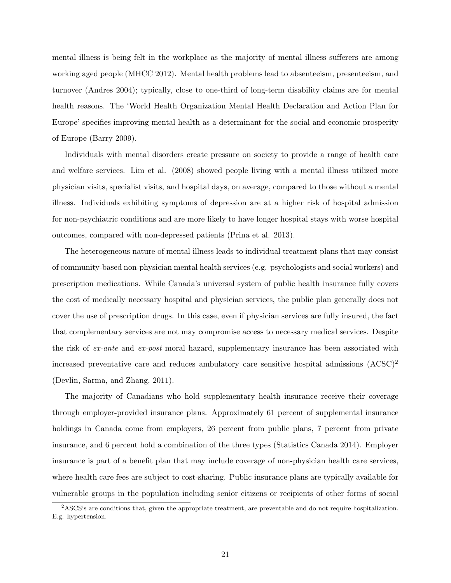mental illness is being felt in the workplace as the majority of mental illness sufferers are among working aged people (MHCC 2012). Mental health problems lead to absenteeism, presenteeism, and turnover (Andres 2004); typically, close to one-third of long-term disability claims are for mental health reasons. The 'World Health Organization Mental Health Declaration and Action Plan for Europe' specifies improving mental health as a determinant for the social and economic prosperity of Europe (Barry 2009).

Individuals with mental disorders create pressure on society to provide a range of health care and welfare services. Lim et al. (2008) showed people living with a mental illness utilized more physician visits, specialist visits, and hospital days, on average, compared to those without a mental illness. Individuals exhibiting symptoms of depression are at a higher risk of hospital admission for non-psychiatric conditions and are more likely to have longer hospital stays with worse hospital outcomes, compared with non-depressed patients (Prina et al. 2013).

The heterogeneous nature of mental illness leads to individual treatment plans that may consist of community-based non-physician mental health services (e.g. psychologists and social workers) and prescription medications. While Canada's universal system of public health insurance fully covers the cost of medically necessary hospital and physician services, the public plan generally does not cover the use of prescription drugs. In this case, even if physician services are fully insured, the fact that complementary services are not may compromise access to necessary medical services. Despite the risk of ex-ante and ex-post moral hazard, supplementary insurance has been associated with increased preventative care and reduces ambulatory care sensitive hospital admissions  $(ACSC)^2$ (Devlin, Sarma, and Zhang, 2011).

The majority of Canadians who hold supplementary health insurance receive their coverage through employer-provided insurance plans. Approximately 61 percent of supplemental insurance holdings in Canada come from employers, 26 percent from public plans, 7 percent from private insurance, and 6 percent hold a combination of the three types (Statistics Canada 2014). Employer insurance is part of a benefit plan that may include coverage of non-physician health care services, where health care fees are subject to cost-sharing. Public insurance plans are typically available for vulnerable groups in the population including senior citizens or recipients of other forms of social

<sup>&</sup>lt;sup>2</sup>ASCS's are conditions that, given the appropriate treatment, are preventable and do not require hospitalization. E.g. hypertension.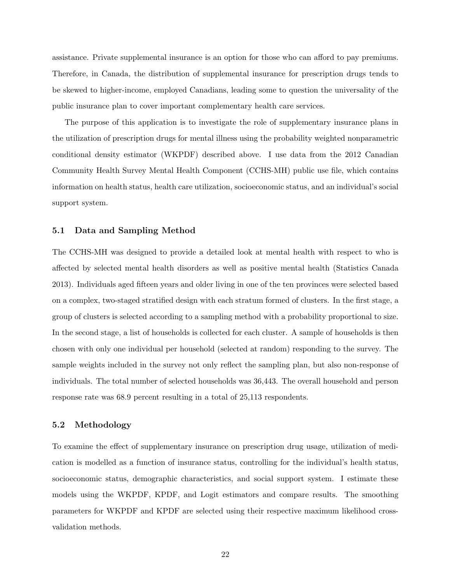assistance. Private supplemental insurance is an option for those who can afford to pay premiums. Therefore, in Canada, the distribution of supplemental insurance for prescription drugs tends to be skewed to higher-income, employed Canadians, leading some to question the universality of the public insurance plan to cover important complementary health care services.

The purpose of this application is to investigate the role of supplementary insurance plans in the utilization of prescription drugs for mental illness using the probability weighted nonparametric conditional density estimator (WKPDF) described above. I use data from the 2012 Canadian Community Health Survey Mental Health Component (CCHS-MH) public use file, which contains information on health status, health care utilization, socioeconomic status, and an individual's social support system.

#### 5.1 Data and Sampling Method

The CCHS-MH was designed to provide a detailed look at mental health with respect to who is affected by selected mental health disorders as well as positive mental health (Statistics Canada 2013). Individuals aged fifteen years and older living in one of the ten provinces were selected based on a complex, two-staged stratified design with each stratum formed of clusters. In the first stage, a group of clusters is selected according to a sampling method with a probability proportional to size. In the second stage, a list of households is collected for each cluster. A sample of households is then chosen with only one individual per household (selected at random) responding to the survey. The sample weights included in the survey not only reflect the sampling plan, but also non-response of individuals. The total number of selected households was 36,443. The overall household and person response rate was 68.9 percent resulting in a total of 25,113 respondents.

#### 5.2 Methodology

To examine the effect of supplementary insurance on prescription drug usage, utilization of medication is modelled as a function of insurance status, controlling for the individual's health status, socioeconomic status, demographic characteristics, and social support system. I estimate these models using the WKPDF, KPDF, and Logit estimators and compare results. The smoothing parameters for WKPDF and KPDF are selected using their respective maximum likelihood crossvalidation methods.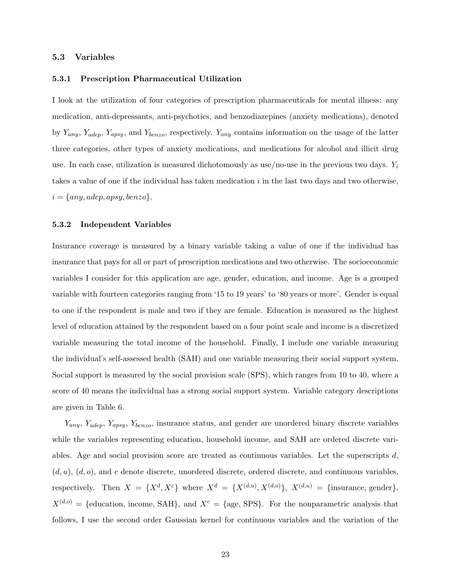#### 5.3 Variables

#### 5.3.1 Prescription Pharmaceutical Utilization

I look at the utilization of four categories of prescription pharmaceuticals for mental illness: any medication, anti-depressants, anti-psychotics, and benzodiazepines (anxiety medications), denoted by  $Y_{any}$ ,  $Y_{adep}$ ,  $Y_{apsy}$ , and  $Y_{benzo}$ , respectively.  $Y_{any}$  contains information on the usage of the latter three categories, other types of anxiety medications, and medications for alcohol and illicit drug use. In each case, utilization is measured dichotomously as use/no-use in the previous two days.  $Y_i$ takes a value of one if the individual has taken medication  $i$  in the last two days and two otherwise,  $i = \{any, adep, apsy, benzo\}.$ 

#### 5.3.2 Independent Variables

Insurance coverage is measured by a binary variable taking a value of one if the individual has insurance that pays for all or part of prescription medications and two otherwise. The socioeconomic variables I consider for this application are age, gender, education, and income. Age is a grouped variable with fourteen categories ranging from '15 to 19 years' to '80 years or more'. Gender is equal to one if the respondent is male and two if they are female. Education is measured as the highest level of education attained by the respondent based on a four point scale and income is a discretized variable measuring the total income of the household. Finally, I include one variable measuring the individual's self-assessed health (SAH) and one variable measuring their social support system. Social support is measured by the social provision scale (SPS), which ranges from 10 to 40, where a score of 40 means the individual has a strong social support system. Variable category descriptions are given in Table 6.

 $Y_{\langle} Y_{\langle} Y_{\langle} \rangle$   $Y_{\langle} Y_{\langle} Y_{\langle} \rangle$  insurance status, and gender are unordered binary discrete variables while the variables representing education, household income, and SAH are ordered discrete variables. Age and social provision score are treated as continuous variables. Let the superscripts  $d$ ,  $(d, u)$ ,  $(d, o)$ , and c denote discrete, unordered discrete, ordered discrete, and continuous variables, respectively. Then  $X = \{X^d, X^c\}$  where  $X^d = \{X^{(d,u)}, X^{(d,o)}\}, X^{(d,u)} = \{\text{insurance, gender}\},\$  $X^{(d,o)} = \{$ education, income, SAH}, and  $X^c = \{$ age, SPS}. For the nonparametric analysis that follows, I use the second order Gaussian kernel for continuous variables and the variation of the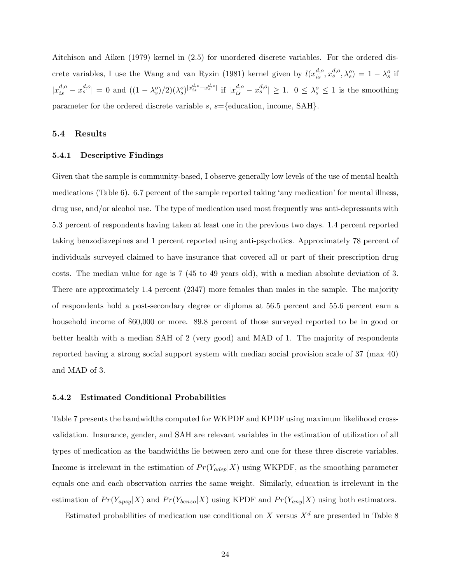Aitchison and Aiken (1979) kernel in (2.5) for unordered discrete variables. For the ordered discrete variables, I use the Wang and van Ryzin (1981) kernel given by  $l(x_{is}^{d,o}, x_s^{d,o}, \lambda_s^o) = 1 - \lambda_s^o$  if  $|x_{is}^{d,o} - x_s^{d,o}| = 0$  and  $((1 - \lambda_s^o)/2)(\lambda_s^o)^{|x_{is}^{d,o} - x_s^{d,o}|}$  if  $|x_{is}^{d,o} - x_s^{d,o}| \ge 1$ .  $0 \le \lambda_s^o \le 1$  is the smoothing parameter for the ordered discrete variable  $s$ ,  $s =$ {education, income, SAH}.

## 5.4 Results

#### 5.4.1 Descriptive Findings

Given that the sample is community-based, I observe generally low levels of the use of mental health medications (Table 6). 6.7 percent of the sample reported taking 'any medication' for mental illness, drug use, and/or alcohol use. The type of medication used most frequently was anti-depressants with 5.3 percent of respondents having taken at least one in the previous two days. 1.4 percent reported taking benzodiazepines and 1 percent reported using anti-psychotics. Approximately 78 percent of individuals surveyed claimed to have insurance that covered all or part of their prescription drug costs. The median value for age is 7 (45 to 49 years old), with a median absolute deviation of 3. There are approximately 1.4 percent (2347) more females than males in the sample. The majority of respondents hold a post-secondary degree or diploma at 56.5 percent and 55.6 percent earn a household income of \$60,000 or more. 89.8 percent of those surveyed reported to be in good or better health with a median SAH of 2 (very good) and MAD of 1. The majority of respondents reported having a strong social support system with median social provision scale of 37 (max 40) and MAD of 3.

#### 5.4.2 Estimated Conditional Probabilities

Table 7 presents the bandwidths computed for WKPDF and KPDF using maximum likelihood crossvalidation. Insurance, gender, and SAH are relevant variables in the estimation of utilization of all types of medication as the bandwidths lie between zero and one for these three discrete variables. Income is irrelevant in the estimation of  $Pr(Y_{adep}|X)$  using WKPDF, as the smoothing parameter equals one and each observation carries the same weight. Similarly, education is irrelevant in the estimation of  $Pr(Y_{apsy}|X)$  and  $Pr(Y_{benzo}|X)$  using KPDF and  $Pr(Y_{any}|X)$  using both estimators.

Estimated probabilities of medication use conditional on X versus  $X^d$  are presented in Table 8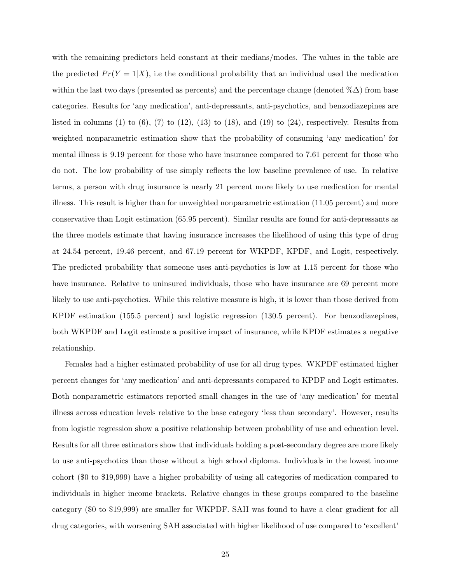with the remaining predictors held constant at their medians/modes. The values in the table are the predicted  $Pr(Y = 1|X)$ , i.e the conditional probability that an individual used the medication within the last two days (presented as percents) and the percentage change (denoted  $\%\Delta$ ) from base categories. Results for 'any medication', anti-depressants, anti-psychotics, and benzodiazepines are listed in columns (1) to  $(6)$ ,  $(7)$  to  $(12)$ ,  $(13)$  to  $(18)$ , and  $(19)$  to  $(24)$ , respectively. Results from weighted nonparametric estimation show that the probability of consuming 'any medication' for mental illness is 9.19 percent for those who have insurance compared to 7.61 percent for those who do not. The low probability of use simply reflects the low baseline prevalence of use. In relative terms, a person with drug insurance is nearly 21 percent more likely to use medication for mental illness. This result is higher than for unweighted nonparametric estimation (11.05 percent) and more conservative than Logit estimation (65.95 percent). Similar results are found for anti-depressants as the three models estimate that having insurance increases the likelihood of using this type of drug at 24.54 percent, 19.46 percent, and 67.19 percent for WKPDF, KPDF, and Logit, respectively. The predicted probability that someone uses anti-psychotics is low at 1.15 percent for those who have insurance. Relative to uninsured individuals, those who have insurance are 69 percent more likely to use anti-psychotics. While this relative measure is high, it is lower than those derived from KPDF estimation (155.5 percent) and logistic regression (130.5 percent). For benzodiazepines, both WKPDF and Logit estimate a positive impact of insurance, while KPDF estimates a negative relationship.

Females had a higher estimated probability of use for all drug types. WKPDF estimated higher percent changes for 'any medication' and anti-depressants compared to KPDF and Logit estimates. Both nonparametric estimators reported small changes in the use of 'any medication' for mental illness across education levels relative to the base category 'less than secondary'. However, results from logistic regression show a positive relationship between probability of use and education level. Results for all three estimators show that individuals holding a post-secondary degree are more likely to use anti-psychotics than those without a high school diploma. Individuals in the lowest income cohort (\$0 to \$19,999) have a higher probability of using all categories of medication compared to individuals in higher income brackets. Relative changes in these groups compared to the baseline category (\$0 to \$19,999) are smaller for WKPDF. SAH was found to have a clear gradient for all drug categories, with worsening SAH associated with higher likelihood of use compared to 'excellent'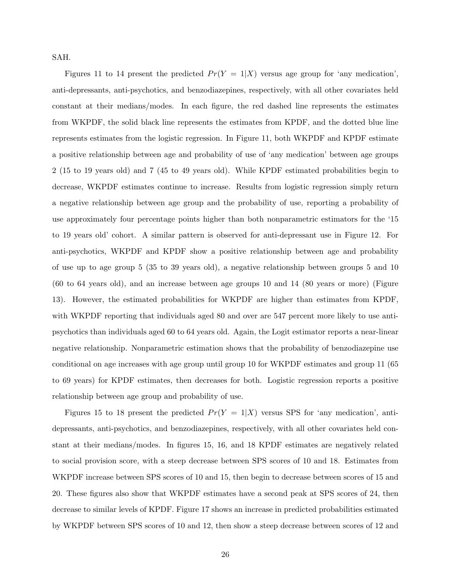SAH.

Figures 11 to 14 present the predicted  $Pr(Y = 1|X)$  versus age group for 'any medication', anti-depressants, anti-psychotics, and benzodiazepines, respectively, with all other covariates held constant at their medians/modes. In each figure, the red dashed line represents the estimates from WKPDF, the solid black line represents the estimates from KPDF, and the dotted blue line represents estimates from the logistic regression. In Figure 11, both WKPDF and KPDF estimate a positive relationship between age and probability of use of 'any medication' between age groups 2 (15 to 19 years old) and 7 (45 to 49 years old). While KPDF estimated probabilities begin to decrease, WKPDF estimates continue to increase. Results from logistic regression simply return a negative relationship between age group and the probability of use, reporting a probability of use approximately four percentage points higher than both nonparametric estimators for the '15 to 19 years old' cohort. A similar pattern is observed for anti-depressant use in Figure 12. For anti-psychotics, WKPDF and KPDF show a positive relationship between age and probability of use up to age group 5 (35 to 39 years old), a negative relationship between groups 5 and 10 (60 to 64 years old), and an increase between age groups 10 and 14 (80 years or more) (Figure 13). However, the estimated probabilities for WKPDF are higher than estimates from KPDF, with WKPDF reporting that individuals aged 80 and over are 547 percent more likely to use antipsychotics than individuals aged 60 to 64 years old. Again, the Logit estimator reports a near-linear negative relationship. Nonparametric estimation shows that the probability of benzodiazepine use conditional on age increases with age group until group 10 for WKPDF estimates and group 11 (65 to 69 years) for KPDF estimates, then decreases for both. Logistic regression reports a positive relationship between age group and probability of use.

Figures 15 to 18 present the predicted  $Pr(Y = 1|X)$  versus SPS for 'any medication', antidepressants, anti-psychotics, and benzodiazepines, respectively, with all other covariates held constant at their medians/modes. In figures 15, 16, and 18 KPDF estimates are negatively related to social provision score, with a steep decrease between SPS scores of 10 and 18. Estimates from WKPDF increase between SPS scores of 10 and 15, then begin to decrease between scores of 15 and 20. These figures also show that WKPDF estimates have a second peak at SPS scores of 24, then decrease to similar levels of KPDF. Figure 17 shows an increase in predicted probabilities estimated by WKPDF between SPS scores of 10 and 12, then show a steep decrease between scores of 12 and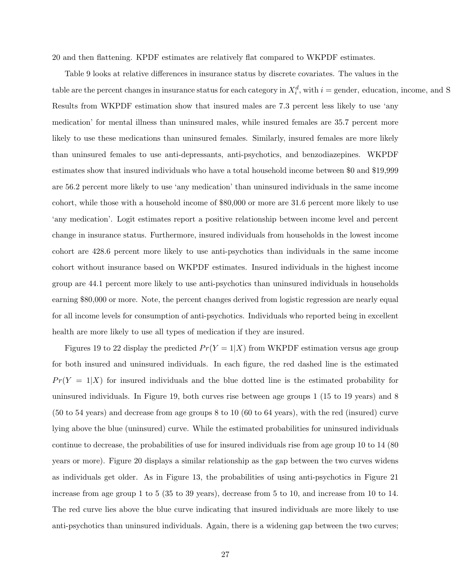20 and then flattening. KPDF estimates are relatively flat compared to WKPDF estimates.

Table 9 looks at relative differences in insurance status by discrete covariates. The values in the table are the percent changes in insurance status for each category in  $X_i^d$ , with  $i =$  gender, education, income, and S Results from WKPDF estimation show that insured males are 7.3 percent less likely to use 'any medication' for mental illness than uninsured males, while insured females are 35.7 percent more likely to use these medications than uninsured females. Similarly, insured females are more likely than uninsured females to use anti-depressants, anti-psychotics, and benzodiazepines. WKPDF estimates show that insured individuals who have a total household income between \$0 and \$19,999 are 56.2 percent more likely to use 'any medication' than uninsured individuals in the same income cohort, while those with a household income of \$80,000 or more are 31.6 percent more likely to use 'any medication'. Logit estimates report a positive relationship between income level and percent change in insurance status. Furthermore, insured individuals from households in the lowest income cohort are 428.6 percent more likely to use anti-psychotics than individuals in the same income cohort without insurance based on WKPDF estimates. Insured individuals in the highest income group are 44.1 percent more likely to use anti-psychotics than uninsured individuals in households earning \$80,000 or more. Note, the percent changes derived from logistic regression are nearly equal for all income levels for consumption of anti-psychotics. Individuals who reported being in excellent health are more likely to use all types of medication if they are insured.

Figures 19 to 22 display the predicted  $Pr(Y = 1|X)$  from WKPDF estimation versus age group for both insured and uninsured individuals. In each figure, the red dashed line is the estimated  $Pr(Y = 1|X)$  for insured individuals and the blue dotted line is the estimated probability for uninsured individuals. In Figure 19, both curves rise between age groups 1 (15 to 19 years) and 8 (50 to 54 years) and decrease from age groups 8 to 10 (60 to 64 years), with the red (insured) curve lying above the blue (uninsured) curve. While the estimated probabilities for uninsured individuals continue to decrease, the probabilities of use for insured individuals rise from age group 10 to 14 (80 years or more). Figure 20 displays a similar relationship as the gap between the two curves widens as individuals get older. As in Figure 13, the probabilities of using anti-psychotics in Figure 21 increase from age group 1 to 5 (35 to 39 years), decrease from 5 to 10, and increase from 10 to 14. The red curve lies above the blue curve indicating that insured individuals are more likely to use anti-psychotics than uninsured individuals. Again, there is a widening gap between the two curves;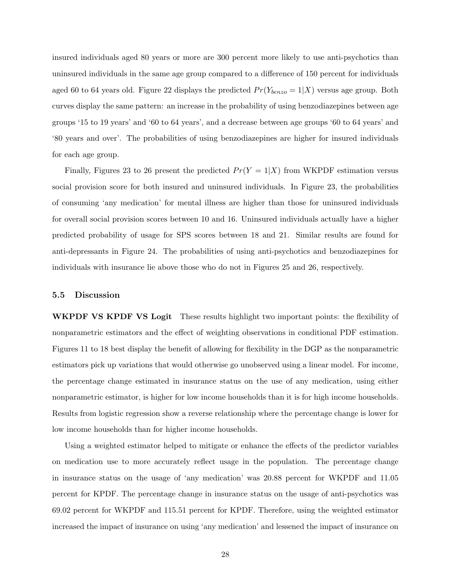insured individuals aged 80 years or more are 300 percent more likely to use anti-psychotics than uninsured individuals in the same age group compared to a difference of 150 percent for individuals aged 60 to 64 years old. Figure 22 displays the predicted  $Pr(Y_{benzo} = 1|X)$  versus age group. Both curves display the same pattern: an increase in the probability of using benzodiazepines between age groups '15 to 19 years' and '60 to 64 years', and a decrease between age groups '60 to 64 years' and '80 years and over'. The probabilities of using benzodiazepines are higher for insured individuals for each age group.

Finally, Figures 23 to 26 present the predicted  $Pr(Y = 1|X)$  from WKPDF estimation versus social provision score for both insured and uninsured individuals. In Figure 23, the probabilities of consuming 'any medication' for mental illness are higher than those for uninsured individuals for overall social provision scores between 10 and 16. Uninsured individuals actually have a higher predicted probability of usage for SPS scores between 18 and 21. Similar results are found for anti-depressants in Figure 24. The probabilities of using anti-psychotics and benzodiazepines for individuals with insurance lie above those who do not in Figures 25 and 26, respectively.

#### 5.5 Discussion

WKPDF VS KPDF VS Logit These results highlight two important points: the flexibility of nonparametric estimators and the effect of weighting observations in conditional PDF estimation. Figures 11 to 18 best display the benefit of allowing for flexibility in the DGP as the nonparametric estimators pick up variations that would otherwise go unobserved using a linear model. For income, the percentage change estimated in insurance status on the use of any medication, using either nonparametric estimator, is higher for low income households than it is for high income households. Results from logistic regression show a reverse relationship where the percentage change is lower for low income households than for higher income households.

Using a weighted estimator helped to mitigate or enhance the effects of the predictor variables on medication use to more accurately reflect usage in the population. The percentage change in insurance status on the usage of 'any medication' was 20.88 percent for WKPDF and 11.05 percent for KPDF. The percentage change in insurance status on the usage of anti-psychotics was 69.02 percent for WKPDF and 115.51 percent for KPDF. Therefore, using the weighted estimator increased the impact of insurance on using 'any medication' and lessened the impact of insurance on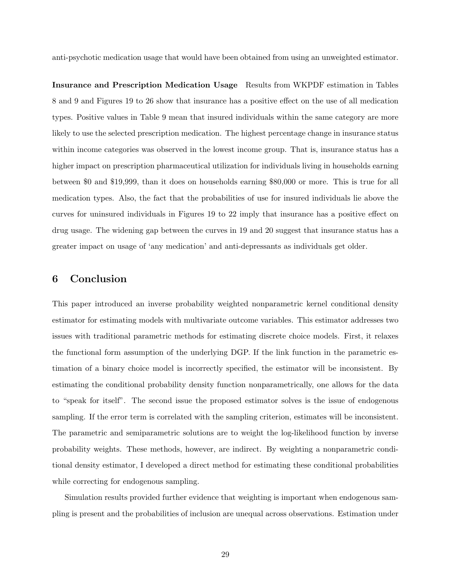anti-psychotic medication usage that would have been obtained from using an unweighted estimator.

Insurance and Prescription Medication Usage Results from WKPDF estimation in Tables 8 and 9 and Figures 19 to 26 show that insurance has a positive effect on the use of all medication types. Positive values in Table 9 mean that insured individuals within the same category are more likely to use the selected prescription medication. The highest percentage change in insurance status within income categories was observed in the lowest income group. That is, insurance status has a higher impact on prescription pharmaceutical utilization for individuals living in households earning between \$0 and \$19,999, than it does on households earning \$80,000 or more. This is true for all medication types. Also, the fact that the probabilities of use for insured individuals lie above the curves for uninsured individuals in Figures 19 to 22 imply that insurance has a positive effect on drug usage. The widening gap between the curves in 19 and 20 suggest that insurance status has a greater impact on usage of 'any medication' and anti-depressants as individuals get older.

# 6 Conclusion

This paper introduced an inverse probability weighted nonparametric kernel conditional density estimator for estimating models with multivariate outcome variables. This estimator addresses two issues with traditional parametric methods for estimating discrete choice models. First, it relaxes the functional form assumption of the underlying DGP. If the link function in the parametric estimation of a binary choice model is incorrectly specified, the estimator will be inconsistent. By estimating the conditional probability density function nonparametrically, one allows for the data to "speak for itself". The second issue the proposed estimator solves is the issue of endogenous sampling. If the error term is correlated with the sampling criterion, estimates will be inconsistent. The parametric and semiparametric solutions are to weight the log-likelihood function by inverse probability weights. These methods, however, are indirect. By weighting a nonparametric conditional density estimator, I developed a direct method for estimating these conditional probabilities while correcting for endogenous sampling.

Simulation results provided further evidence that weighting is important when endogenous sampling is present and the probabilities of inclusion are unequal across observations. Estimation under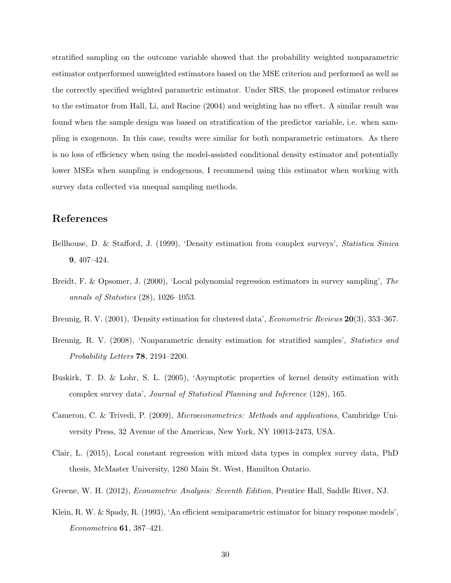stratified sampling on the outcome variable showed that the probability weighted nonparametric estimator outperformed unweighted estimators based on the MSE criterion and performed as well as the correctly specified weighted parametric estimator. Under SRS, the proposed estimator reduces to the estimator from Hall, Li, and Racine (2004) and weighting has no effect. A similar result was found when the sample design was based on stratification of the predictor variable, i.e. when sampling is exogenous. In this case, results were similar for both nonparametric estimators. As there is no loss of efficiency when using the model-assisted conditional density estimator and potentially lower MSEs when sampling is endogenous, I recommend using this estimator when working with survey data collected via unequal sampling methods.

# References

- Bellhouse, D. & Stafford, J. (1999), 'Density estimation from complex surveys', Statistica Sinica 9, 407–424.
- Breidt, F. & Opsomer, J. (2000), 'Local polynomial regression estimators in survey sampling', The annals of Statistics (28), 1026–1053.
- Breunig, R. V. (2001), 'Density estimation for clustered data', *Econometric Reviews* 20(3), 353–367.
- Breunig, R. V. (2008), 'Nonparametric density estimation for stratified samples', Statistics and Probability Letters 78, 2194–2200.
- Buskirk, T. D. & Lohr, S. L. (2005), 'Asymptotic properties of kernel density estimation with complex survey data', Journal of Statistical Planning and Inference (128), 165.
- Cameron, C. & Trivedi, P. (2009), Microeconometrics: Methods and applications, Cambridge University Press, 32 Avenue of the Americas, New York, NY 10013-2473, USA.
- Clair, L. (2015), Local constant regression with mixed data types in complex survey data, PhD thesis, McMaster University, 1280 Main St. West, Hamilton Ontario.
- Greene, W. H. (2012), *Econometric Analysis: Seventh Edition*, Prentice Hall, Saddle River, NJ.
- Klein, R. W. & Spady, R. (1993), 'An efficient semiparametric estimator for binary response models', Econometrica 61, 387–421.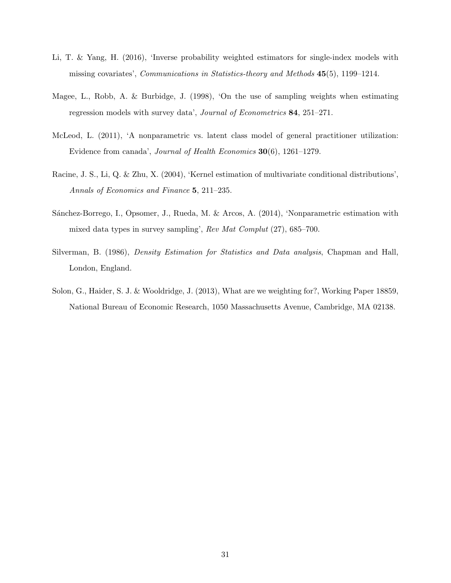- Li, T. & Yang, H. (2016), 'Inverse probability weighted estimators for single-index models with missing covariates', Communications in Statistics-theory and Methods 45(5), 1199–1214.
- Magee, L., Robb, A. & Burbidge, J. (1998), 'On the use of sampling weights when estimating regression models with survey data', Journal of Econometrics 84, 251–271.
- McLeod, L. (2011), 'A nonparametric vs. latent class model of general practitioner utilization: Evidence from canada', Journal of Health Economics 30(6), 1261–1279.
- Racine, J. S., Li, Q. & Zhu, X. (2004), 'Kernel estimation of multivariate conditional distributions', Annals of Economics and Finance 5, 211–235.
- Sánchez-Borrego, I., Opsomer, J., Rueda, M. & Arcos, A. (2014), 'Nonparametric estimation with mixed data types in survey sampling', Rev Mat Complut (27), 685–700.
- Silverman, B. (1986), Density Estimation for Statistics and Data analysis, Chapman and Hall, London, England.
- Solon, G., Haider, S. J. & Wooldridge, J. (2013), What are we weighting for?, Working Paper 18859, National Bureau of Economic Research, 1050 Massachusetts Avenue, Cambridge, MA 02138.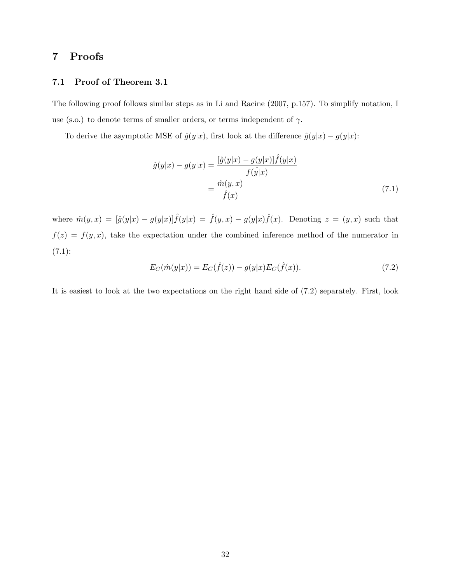# 7 Proofs

## 7.1 Proof of Theorem 3.1

The following proof follows similar steps as in Li and Racine (2007, p.157). To simplify notation, I use (s.o.) to denote terms of smaller orders, or terms independent of  $\gamma$ .

To derive the asymptotic MSE of  $\hat{g}(y|x)$ , first look at the difference  $\hat{g}(y|x) - g(y|x)$ :

$$
\hat{g}(y|x) - g(y|x) = \frac{\left[\hat{g}(y|x) - g(y|x)\right]\hat{f}(y|x)}{f(\hat{y}|x)}
$$

$$
= \frac{\hat{m}(y,x)}{\hat{f}(x)} \tag{7.1}
$$

where  $\hat{m}(y,x) = [\hat{g}(y|x) - g(y|x)]\hat{f}(y|x) = \hat{f}(y,x) - g(y|x)\hat{f}(x)$ . Denoting  $z = (y,x)$  such that  $f(z) = f(y, x)$ , take the expectation under the combined inference method of the numerator in  $(7.1):$ 

$$
E_C(\hat{m}(y|x)) = E_C(\hat{f}(z)) - g(y|x)E_C(\hat{f}(x)).
$$
\n(7.2)

It is easiest to look at the two expectations on the right hand side of (7.2) separately. First, look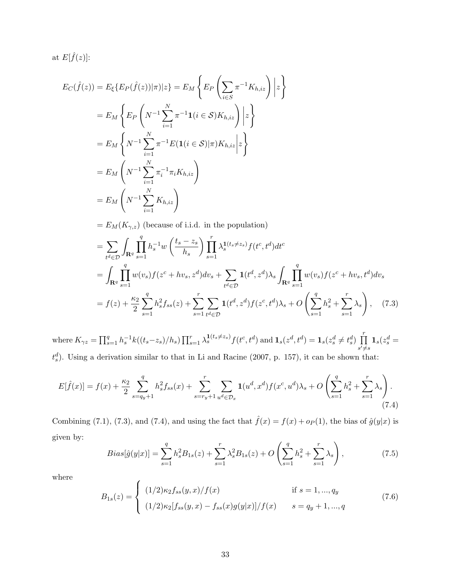at  $E[\hat{f}(z)]$ :

$$
E_C(\hat{f}(z)) = E_{\xi} \{ E_P(\hat{f}(z)) | \pi \} | z \} = E_M \left\{ E_P \left( \sum_{i \in S} \pi^{-1} K_{h, iz} \right) \middle| z \right\}
$$
  
\n
$$
= E_M \left\{ E_P \left( N^{-1} \sum_{i=1}^N \pi^{-1} \mathbf{1}(i \in S) K_{h, iz} \right) \middle| z \right\}
$$
  
\n
$$
= E_M \left\{ N^{-1} \sum_{i=1}^N \pi^{-1} E(\mathbf{1}(i \in S) | \pi) K_{h, iz} \middle| z \right\}
$$
  
\n
$$
= E_M \left( N^{-1} \sum_{i=1}^N \pi_i^{-1} \pi_i K_{h, iz} \right)
$$
  
\n
$$
= E_M \left( N^{-1} \sum_{i=1}^N K_{h, iz} \right)
$$
  
\n
$$
= E_M(K_{\gamma, z}) \text{ (because of i.i.d. in the population)}
$$

$$
= \sum_{t^{d} \in \mathcal{D}} \int_{\mathbf{R}^{q}} \prod_{s=1}^{q} h_{s}^{-1} w\left(\frac{t_{s} - z_{s}}{h_{s}}\right) \prod_{s=1}^{r} \lambda_{s}^{1(t_{s} \neq z_{s})} f(t^{c}, t^{d}) dt^{c}
$$
  
\n
$$
= \int_{\mathbf{R}^{q}} \prod_{s=1}^{q} w(v_{s}) f(z^{c} + hv_{s}, z^{d}) dv_{s} + \sum_{t^{d} \in \mathcal{D}} \mathbf{1}(t^{d}, z^{d}) \lambda_{s} \int_{\mathbf{R}^{q}} \prod_{s=1}^{q} w(v_{s}) f(z^{c} + hv_{s}, t^{d}) dv_{s}
$$
  
\n
$$
= f(z) + \frac{\kappa_{2}}{2} \sum_{s=1}^{q} h_{s}^{2} f_{ss}(z) + \sum_{s=1}^{r} \sum_{t^{d} \in \mathcal{D}} \mathbf{1}(t^{d}, z^{d}) f(z^{c}, t^{d}) \lambda_{s} + O\left(\sum_{s=1}^{q} h_{s}^{2} + \sum_{s=1}^{r} \lambda_{s}\right), \quad (7.3)
$$

where  $K_{\gamma z} = \prod_{s=1}^q h_s^{-1} k((t_s - z_s)/h_s) \prod_{s=1}^r \lambda_s^{1(t_s \neq z_s)} f(t^c, t^d)$  and  $\mathbf{1}_s(z^d, t^d) = \mathbf{1}_s(z^d_s \neq t^d_s) \prod_{s=1}^r \lambda_s^{1(t_s \neq z_s)} f(t^s, t^d)$  $s' \neq s$  $\mathbf{1}_s(z_s^d=$  $t_s^d$ ). Using a derivation similar to that in Li and Racine (2007, p. 157), it can be shown that:

$$
E[\hat{f}(x)] = f(x) + \frac{\kappa_2}{2} \sum_{s=q_y+1}^{q} h_s^2 f_{ss}(x) + \sum_{s=r_y+1}^{r} \sum_{u^d \in \mathcal{D}_x} \mathbf{1}(u^d, x^d) f(x^c, u^d) \lambda_s + O\left(\sum_{s=1}^{q} h_s^2 + \sum_{s=1}^{r} \lambda_s\right). \tag{7.4}
$$

Combining (7.1), (7.3), and (7.4), and using the fact that  $\hat{f}(x) = f(x) + op(1)$ , the bias of  $\hat{g}(y|x)$  is given by:

$$
Bias[\hat{g}(y|x)] = \sum_{s=1}^{q} h_s^2 B_{1s}(z) + \sum_{s=1}^{r} \lambda_s^2 B_{1s}(z) + O\left(\sum_{s=1}^{q} h_s^2 + \sum_{s=1}^{r} \lambda_s\right),\tag{7.5}
$$

where

$$
B_{1s}(z) = \begin{cases} (1/2)\kappa_2 f_{ss}(y, x) / f(x) & \text{if } s = 1, ..., q_y \\ (1/2)\kappa_2 [f_{ss}(y, x) - f_{ss}(x)g(y|x)] / f(x) & s = q_y + 1, ..., q \end{cases}
$$
(7.6)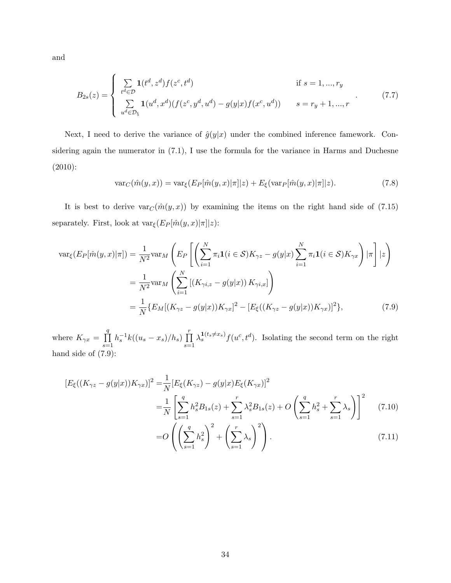and

$$
B_{2s}(z) = \begin{cases} \sum_{t^d \in \mathcal{D}} \mathbf{1}(t^d, z^d) f(z^c, t^d) & \text{if } s = 1, ..., r_y \\ \sum_{u^d \in \mathcal{D}_{\S}} \mathbf{1}(u^d, x^d) (f(z^c, y^d, u^d) - g(y|x) f(x^c, u^d)) & s = r_y + 1, ..., r \end{cases}
$$
(7.7)

Next, I need to derive the variance of  $\hat{g}(y|x)$  under the combined inference famework. Considering again the numerator in (7.1), I use the formula for the variance in Harms and Duchesne (2010):

$$
\text{var}_C(\hat{m}(y,x)) = \text{var}_{\xi}(E_P[\hat{m}(y,x)|\pi]|z) + E_{\xi}(\text{var}_P[\hat{m}(y,x)|\pi]|z). \tag{7.8}
$$

It is best to derive  $var_C(\hat{m}(y, x))$  by examining the items on the right hand side of (7.15) separately. First, look at  $\text{var}_{\xi}(E_P[\hat{m}(y,x)|\pi]|z)$ :

$$
\begin{split} \text{var}_{\xi}(E_{P}[\hat{m}(y,x)|\pi]) &= \frac{1}{N^{2}} \text{var}_{M} \left( E_{P} \left[ \left( \sum_{i=1}^{N} \pi_{i} \mathbf{1}(i \in \mathcal{S}) K_{\gamma z} - g(y|x) \sum_{i=1}^{N} \pi_{i} \mathbf{1}(i \in \mathcal{S}) K_{\gamma x} \right) |\pi \right] | z \right) \\ &= \frac{1}{N^{2}} \text{var}_{M} \left( \sum_{i=1}^{N} \left[ \left( K_{\gamma i,z} - g(y|x) \right) K_{\gamma i,x} \right] \right) \\ &= \frac{1}{N} \{ E_{M} \left[ \left( K_{\gamma z} - g(y|x) \right) K_{\gamma x} \right]^{2} - \left[ E_{\xi} \left( \left( K_{\gamma z} - g(y|x) \right) K_{\gamma x} \right) \right]^{2} \}, \end{split} \tag{7.9}
$$

where  $K_{\gamma x} = \prod$ q  $s=1$  $h_s^{-1}k((u_s - x_s)/h_s) \prod_1^r$  $s=1$  $\lambda_s^{\mathbf{1}(t_s \neq x_s)} f(u^c, t^d)$ . Isolating the second term on the right hand side of (7.9):

$$
[E_{\xi}((K_{\gamma z} - g(y|x))K_{\gamma x})]^2 = \frac{1}{N}[E_{\xi}(K_{\gamma z}) - g(y|x)E_{\xi}(K_{\gamma x})]^2
$$
  

$$
= \frac{1}{N}\left[\sum_{s=1}^q h_s^2 B_{1s}(z) + \sum_{s=1}^r \lambda_s^2 B_{1s}(z) + O\left(\sum_{s=1}^q h_s^2 + \sum_{s=1}^r \lambda_s\right)\right]^2 \tag{7.10}
$$
  

$$
= O\left(\left(\sum_{s=1}^q h_s^2\right)^2 + \left(\sum_{s=1}^r \lambda_s\right)^2\right). \tag{7.11}
$$

 $s=1$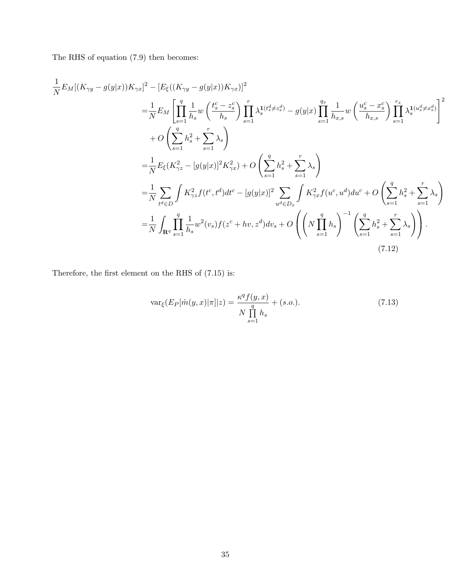The RHS of equation (7.9) then becomes:

$$
\frac{1}{N}E_M[(K_{\gamma y} - g(y|x))K_{\gamma x}]^2 - [E_{\xi}((K_{\gamma y} - g(y|x))K_{\gamma x})]^2
$$
\n
$$
= \frac{1}{N}E_M\left[\prod_{s=1}^q \frac{1}{h_s} w\left(\frac{t_s^c - z_s^c}{h_s}\right) \prod_{s=1}^r \lambda_s^{1(t_s^d \neq z_s^d)} - g(y|x) \prod_{s=1}^{q_x} \frac{1}{h_{x,s}} w\left(\frac{u_s^c - x_s^c}{h_{x,s}}\right) \prod_{s=1}^{r_x} \lambda_s^{1(u_s^d \neq x_s^d)}\right]^2
$$
\n
$$
+ O\left(\sum_{s=1}^q h_s^2 + \sum_{s=1}^r \lambda_s\right)
$$
\n
$$
= \frac{1}{N}E_{\xi}(K_{\gamma z}^2 - [g(y|x)]^2 K_{\gamma x}^2) + O\left(\sum_{s=1}^q h_s^2 + \sum_{s=1}^r \lambda_s\right)
$$
\n
$$
= \frac{1}{N} \sum_{t^d \in D} \int K_{\gamma z}^2 f(t^c, t^d) dt^c - [g(y|x)]^2 \sum_{u^d \in D_x} \int K_{\gamma x}^2 f(u^c, u^d) du^c + O\left(\sum_{s=1}^q h_s^2 + \sum_{s=1}^r \lambda_s\right)
$$
\n
$$
= \frac{1}{N} \int_{\mathbf{R}^q} \prod_{s=1}^q \frac{1}{h_s} w^2(v_s) f(z^c + hv, z^d) dv_s + O\left(\left(N \prod_{s=1}^q h_s\right)^{-1} \left(\sum_{s=1}^q h_s^2 + \sum_{s=1}^r \lambda_s\right)\right).
$$
\n(7.12)

Therefore, the first element on the RHS of (7.15) is:

$$
\text{var}_{\xi}(E_P[\hat{m}(y,x)|\pi]|z) = \frac{\kappa^q f(y,x)}{N \prod_{s=1}^q h_s} + (s.o.). \tag{7.13}
$$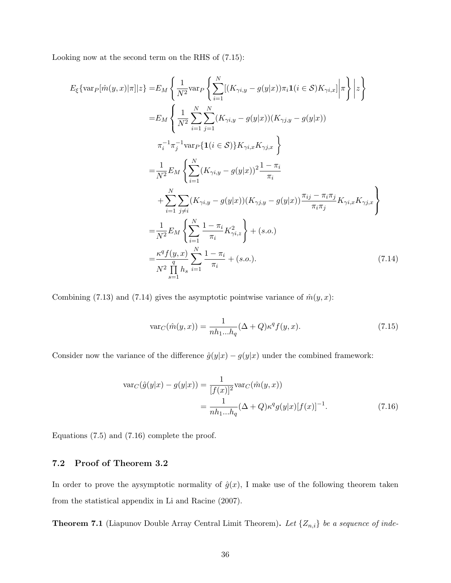Looking now at the second term on the RHS of (7.15):

$$
E_{\xi}\{\text{var}_{P}[\hat{m}(y,x)|\pi]|z\} = E_{M}\left\{\frac{1}{N^{2}}\text{var}_{P}\left\{\sum_{i=1}^{N}[(K_{\gamma i,y}-g(y|x))\pi_{i}\mathbf{1}(i \in S)K_{\gamma i,x}]\bigg|\pi\right\}|z\right\}
$$
  
\n
$$
= E_{M}\left\{\frac{1}{N^{2}}\sum_{i=1}^{N}\sum_{j=1}^{N}(K_{\gamma i,y}-g(y|x))(K_{\gamma j,y}-g(y|x))
$$
  
\n
$$
\pi_{i}^{-1}\pi_{j}^{-1}\text{var}_{P}\{\mathbf{1}(i \in S)\}K_{\gamma i,x}K_{\gamma j,x}\right\}
$$
  
\n
$$
= \frac{1}{N^{2}}E_{M}\left\{\sum_{i=1}^{N}(K_{\gamma i,y}-g(y|x))^{2}\frac{1-\pi_{i}}{\pi_{i}} + \sum_{i=1}^{N}\sum_{j\neq i}(K_{\gamma i,y}-g(y|x))(K_{\gamma j,y}-g(y|x))\frac{\pi_{ij}-\pi_{i}\pi_{j}}{\pi_{i}\pi_{j}}K_{\gamma i,x}K_{\gamma j,x}\right\}
$$
  
\n
$$
= \frac{1}{N^{2}}E_{M}\left\{\sum_{i=1}^{N}\frac{1-\pi_{i}}{\pi_{i}}K_{\gamma i,z}^{2}\right\} + (s.o.)
$$
  
\n
$$
= \frac{\kappa^{q}f(y,x)}{N^{2}}\sum_{s=1}^{N}\frac{1-\pi_{i}}{\pi_{i}} + (s.o.).
$$
  
\n(7.14)

Combining (7.13) and (7.14) gives the asymptotic pointwise variance of  $\hat{m}(y, x)$ :

$$
\text{var}_C(\hat{m}(y,x)) = \frac{1}{nh_1...h_q} (\Delta + Q)\kappa^q f(y,x). \tag{7.15}
$$

Consider now the variance of the difference  $\hat{g}(y|x) - g(y|x)$  under the combined framework:

$$
\begin{split} \text{var}_C(\hat{g}(y|x) - g(y|x)) &= \frac{1}{[f(x)]^2} \text{var}_C(\hat{m}(y,x)) \\ &= \frac{1}{nh_1...h_q} (\Delta + Q) \kappa^q g(y|x) [f(x)]^{-1}. \end{split} \tag{7.16}
$$

Equations (7.5) and (7.16) complete the proof.

## 7.2 Proof of Theorem 3.2

In order to prove the aysymptotic normality of  $\hat{g}(x)$ , I make use of the following theorem taken from the statistical appendix in Li and Racine (2007).

**Theorem 7.1** (Liapunov Double Array Central Limit Theorem). Let  $\{Z_{n,i}\}\$  be a sequence of inde-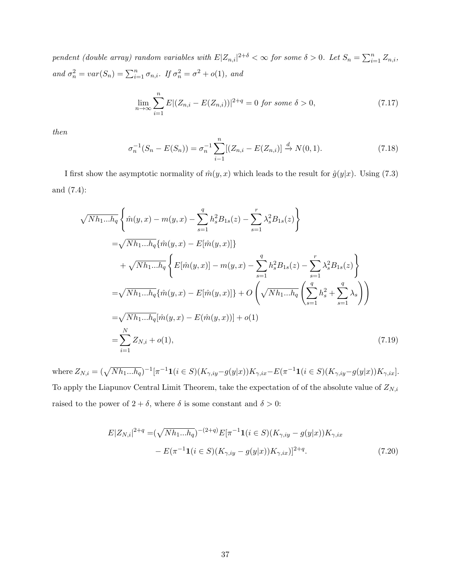pendent (double array) random variables with  $E|Z_{n,i}|^{2+\delta} < \infty$  for some  $\delta > 0$ . Let  $S_n = \sum_{i=1}^n Z_{n,i}$ , and  $\sigma_n^2 = var(S_n) = \sum_{i=1}^n \sigma_{n,i}$ . If  $\sigma_n^2 = \sigma^2 + o(1)$ , and

$$
\lim_{n \to \infty} \sum_{i=1}^{n} E|(Z_{n,i} - E(Z_{n,i}))|^{2+q} = 0 \text{ for some } \delta > 0,
$$
\n(7.17)

then

$$
\sigma_n^{-1}(S_n - E(S_n)) = \sigma_n^{-1} \sum_{i=1}^n [(Z_{n,i} - E(Z_{n,i})] \stackrel{d}{\to} N(0, 1).
$$
\n(7.18)

I first show the asymptotic normality of  $\hat{m}(y, x)$  which leads to the result for  $\hat{g}(y|x)$ . Using (7.3) and (7.4):

$$
\sqrt{Nh_{1}...h_{q}} \left\{ \hat{m}(y,x) - m(y,x) - \sum_{s=1}^{q} h_{s}^{2} B_{1s}(z) - \sum_{s=1}^{r} \lambda_{s}^{2} B_{1s}(z) \right\}
$$
  
\n
$$
= \sqrt{Nh_{1}...h_{q}} \{ \hat{m}(y,x) - E[\hat{m}(y,x)] \}
$$
  
\n
$$
+ \sqrt{Nh_{1}...h_{q}} \left\{ E[\hat{m}(y,x)] - m(y,x) - \sum_{s=1}^{q} h_{s}^{2} B_{1s}(z) - \sum_{s=1}^{r} \lambda_{s}^{2} B_{1s}(z) \right\}
$$
  
\n
$$
= \sqrt{Nh_{1}...h_{q}} \{ \hat{m}(y,x) - E[\hat{m}(y,x)] \} + O\left(\sqrt{Nh_{1}...h_{q}} \left(\sum_{s=1}^{q} h_{s}^{2} + \sum_{s=1}^{q} \lambda_{s}\right) \right)
$$
  
\n
$$
= \sqrt{Nh_{1}...h_{q}} [\hat{m}(y,x) - E(\hat{m}(y,x))] + o(1)
$$
  
\n
$$
= \sum_{i=1}^{N} Z_{N,i} + o(1), \qquad (7.19)
$$

where  $Z_{N,i} = (\sqrt{N h_1 ... h_q})^{-1} [\pi^{-1} \mathbf{1}(i \in S)(K_{\gamma, iy} - g(y|x)) K_{\gamma, ix} - E(\pi^{-1} \mathbf{1}(i \in S)(K_{\gamma, iy} - g(y|x)) K_{\gamma, ix}].$ To apply the Liapunov Central Limit Theorem, take the expectation of of the absolute value of  $Z_{N,i}$ raised to the power of  $2 + \delta$ , where  $\delta$  is some constant and  $\delta > 0$ :

$$
E|Z_{N,i}|^{2+q} = (\sqrt{Nh_{1}...h_q})^{-(2+q)} E[\pi^{-1}\mathbf{1}(i \in S)(K_{\gamma, iy} - g(y|x))K_{\gamma, ix} - E(\pi^{-1}\mathbf{1}(i \in S)(K_{\gamma, iy} - g(y|x))K_{\gamma, ix})]^{2+q}.
$$
\n(7.20)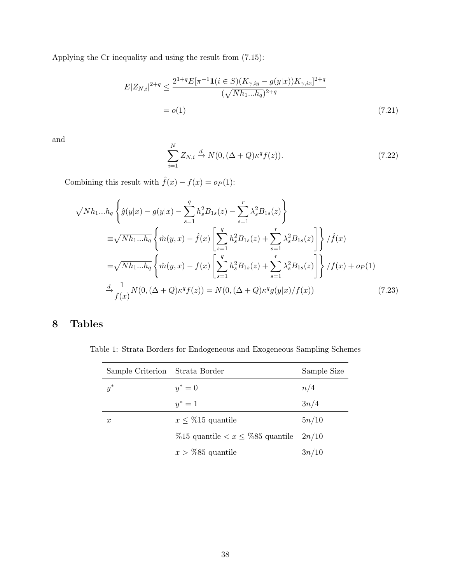Applying the Cr inequality and using the result from (7.15):

$$
E|Z_{N,i}|^{2+q} \le \frac{2^{1+q}E[\pi^{-1}\mathbf{1}(i \in S)(K_{\gamma,iy} - g(y|x))K_{\gamma,ix}]^{2+q}}{(\sqrt{Nh_1...h_q})^{2+q}}
$$
  
=  $o(1)$  (7.21)

and

$$
\sum_{i=1}^{N} Z_{N,i} \xrightarrow{d} N(0, (\Delta + Q)\kappa^{q} f(z)).
$$
\n(7.22)

Combining this result with  $\hat{f}(x) - f(x) = o_P(1)$ :

$$
\sqrt{Nh_{1}...h_{q}} \left\{ \hat{g}(y|x) - g(y|x) - \sum_{s=1}^{q} h_{s}^{2} B_{1s}(z) - \sum_{s=1}^{r} \lambda_{s}^{2} B_{1s}(z) \right\}
$$
  
\n
$$
\equiv \sqrt{Nh_{1}...h_{q}} \left\{ \hat{m}(y,x) - \hat{f}(x) \left[ \sum_{s=1}^{q} h_{s}^{2} B_{1s}(z) + \sum_{s=1}^{r} \lambda_{s}^{2} B_{1s}(z) \right] \right\} / \hat{f}(x)
$$
  
\n
$$
= \sqrt{Nh_{1}...h_{q}} \left\{ \hat{m}(y,x) - f(x) \left[ \sum_{s=1}^{q} h_{s}^{2} B_{1s}(z) + \sum_{s=1}^{r} \lambda_{s}^{2} B_{1s}(z) \right] \right\} / f(x) + op(1)
$$
  
\n
$$
\stackrel{d}{\rightarrow} \frac{1}{f(x)} N(0, (\Delta + Q)\kappa^{q} f(z)) = N(0, (\Delta + Q)\kappa^{q} g(y|x) / f(x)) \tag{7.23}
$$

## 8 Tables

Table 1: Strata Borders for Endogeneous and Exogeneous Sampling Schemes

| Sample Criterion Strata Border |                                                  | Sample Size |
|--------------------------------|--------------------------------------------------|-------------|
| $y^*$                          | $y^* = 0$                                        | n/4         |
|                                | $y^* = 1$                                        | 3n/4        |
| $\boldsymbol{x}$               | $x \leq \%15$ quantile                           | 5n/10       |
|                                | %15 quantile $\langle x \leq \sqrt{85}$ quantile | 2n/10       |
|                                | $x > \%$ 85 quantile                             | 3n/10       |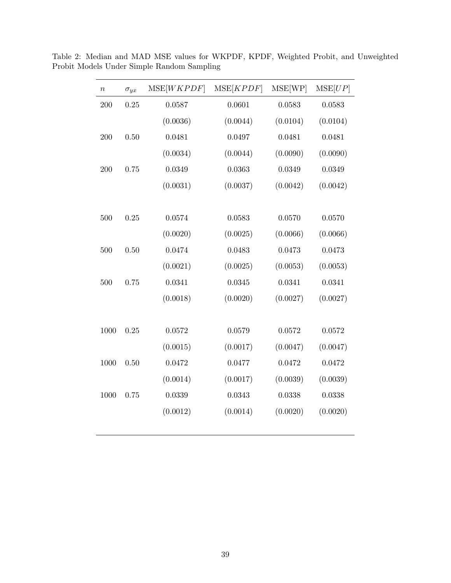| $\, n$ | $\sigma_{yx}$ | MSE[WKPDF] | MSE[KPDF] | MSE[WP]  | MSE[UP]  |
|--------|---------------|------------|-----------|----------|----------|
| 200    | 0.25          | 0.0587     | 0.0601    | 0.0583   | 0.0583   |
|        |               | (0.0036)   | (0.0044)  | (0.0104) | (0.0104) |
| 200    | 0.50          | 0.0481     | 0.0497    | 0.0481   | 0.0481   |
|        |               | (0.0034)   | (0.0044)  | (0.0090) | (0.0090) |
| 200    | 0.75          | 0.0349     | 0.0363    | 0.0349   | 0.0349   |
|        |               | (0.0031)   | (0.0037)  | (0.0042) | (0.0042) |
|        |               |            |           |          |          |
| 500    | 0.25          | 0.0574     | 0.0583    | 0.0570   | 0.0570   |
|        |               | (0.0020)   | (0.0025)  | (0.0066) | (0.0066) |
| 500    | 0.50          | 0.0474     | 0.0483    | 0.0473   | 0.0473   |
|        |               | (0.0021)   | (0.0025)  | (0.0053) | (0.0053) |
| 500    | 0.75          | 0.0341     | 0.0345    | 0.0341   | 0.0341   |
|        |               | (0.0018)   | (0.0020)  | (0.0027) | (0.0027) |
|        |               |            |           |          |          |
| 1000   | 0.25          | 0.0572     | 0.0579    | 0.0572   | 0.0572   |
|        |               | (0.0015)   | (0.0017)  | (0.0047) | (0.0047) |
| 1000   | 0.50          | 0.0472     | 0.0477    | 0.0472   | 0.0472   |
|        |               | (0.0014)   | (0.0017)  | (0.0039) | (0.0039) |
| 1000   | 0.75          | 0.0339     | 0.0343    | 0.0338   | 0.0338   |
|        |               | (0.0012)   | (0.0014)  | (0.0020) | (0.0020) |
|        |               |            |           |          |          |

Table 2: Median and MAD MSE values for WKPDF, KPDF, Weighted Probit, and Unweighted Probit Models Under Simple Random Sampling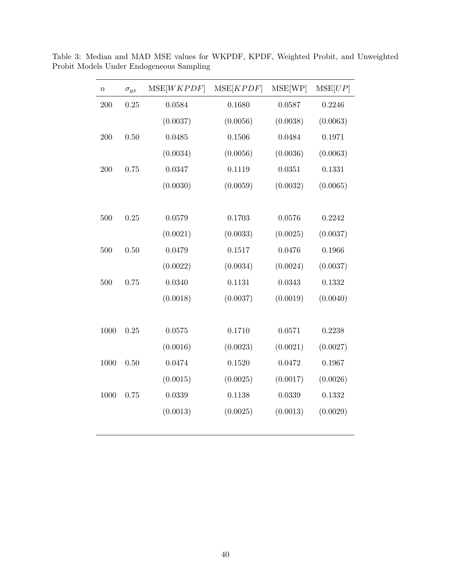| $\, n$ | $\sigma_{yx}$ | MSE[WKPDF] | MSE[KPDF] | MSE[WP]  | MSE[UP]  |
|--------|---------------|------------|-----------|----------|----------|
| 200    | 0.25          | 0.0584     | 0.1680    | 0.0587   | 0.2246   |
|        |               | (0.0037)   | (0.0056)  | (0.0038) | (0.0063) |
| 200    | 0.50          | 0.0485     | 0.1506    | 0.0484   | 0.1971   |
|        |               | (0.0034)   | (0.0056)  | (0.0036) | (0.0063) |
| 200    | 0.75          | 0.0347     | 0.1119    | 0.0351   | 0.1331   |
|        |               | (0.0030)   | (0.0059)  | (0.0032) | (0.0065) |
|        |               |            |           |          |          |
| 500    | 0.25          | 0.0579     | 0.1703    | 0.0576   | 0.2242   |
|        |               | (0.0021)   | (0.0033)  | (0.0025) | (0.0037) |
| 500    | 0.50          | 0.0479     | 0.1517    | 0.0476   | 0.1966   |
|        |               | (0.0022)   | (0.0034)  | (0.0024) | (0.0037) |
| 500    | 0.75          | 0.0340     | 0.1131    | 0.0343   | 0.1332   |
|        |               | (0.0018)   | (0.0037)  | (0.0019) | (0.0040) |
|        |               |            |           |          |          |
| 1000   | 0.25          | 0.0575     | 0.1710    | 0.0571   | 0.2238   |
|        |               | (0.0016)   | (0.0023)  | (0.0021) | (0.0027) |
| 1000   | 0.50          | 0.0474     | 0.1520    | 0.0472   | 0.1967   |
|        |               | (0.0015)   | (0.0025)  | (0.0017) | (0.0026) |
| 1000   | 0.75          | 0.0339     | 0.1138    | 0.0339   | 0.1332   |
|        |               | (0.0013)   | (0.0025)  | (0.0013) | (0.0029) |
|        |               |            |           |          |          |

Table 3: Median and MAD MSE values for WKPDF, KPDF, Weighted Probit, and Unweighted Probit Models Under Endogeneous Sampling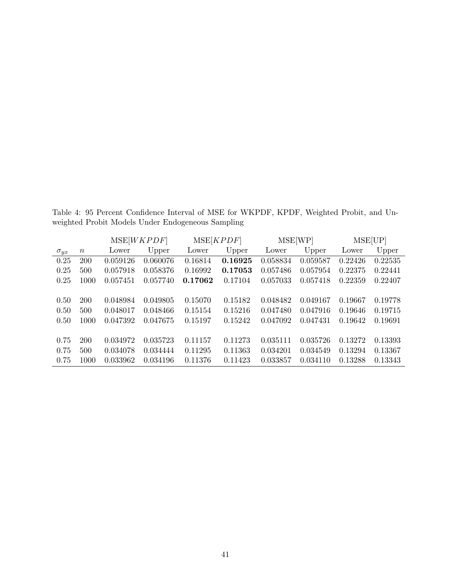Table 4: 95 Percent Confidence Interval of MSE for WKPDF, KPDF, Weighted Probit, and Unweighted Probit Models Under Endogeneous Sampling

|               |            |          | MSE[WKPDF] | MSE[KPDF] |         | MSE[WP]  |          | MSE[UP] |         |  |
|---------------|------------|----------|------------|-----------|---------|----------|----------|---------|---------|--|
| $\sigma_{yx}$ | $\, n$     | Lower    | Upper      | Lower     | Upper   | Lower    | Upper    | Lower   | Upper   |  |
| 0.25          | <b>200</b> | 0.059126 | 0.060076   | 0.16814   | 0.16925 | 0.058834 | 0.059587 | 0.22426 | 0.22535 |  |
| 0.25          | 500        | 0.057918 | 0.058376   | 0.16992   | 0.17053 | 0.057486 | 0.057954 | 0.22375 | 0.22441 |  |
| 0.25          | 1000       | 0.057451 | 0.057740   | 0.17062   | 0.17104 | 0.057033 | 0.057418 | 0.22359 | 0.22407 |  |
|               |            |          |            |           |         |          |          |         |         |  |
| 0.50          | 200        | 0.048984 | 0.049805   | 0.15070   | 0.15182 | 0.048482 | 0.049167 | 0.19667 | 0.19778 |  |
| 0.50          | 500        | 0.048017 | 0.048466   | 0.15154   | 0.15216 | 0.047480 | 0.047916 | 0.19646 | 0.19715 |  |
| 0.50          | 1000       | 0.047392 | 0.047675   | 0.15197   | 0.15242 | 0.047092 | 0.047431 | 0.19642 | 0.19691 |  |
|               |            |          |            |           |         |          |          |         |         |  |
| 0.75          | 200        | 0.034972 | 0.035723   | 0.11157   | 0.11273 | 0.035111 | 0.035726 | 0.13272 | 0.13393 |  |
| 0.75          | 500        | 0.034078 | 0.034444   | 0.11295   | 0.11363 | 0.034201 | 0.034549 | 0.13294 | 0.13367 |  |
| 0.75          | 1000       | 0.033962 | 0.034196   | 0.11376   | 0.11423 | 0.033857 | 0.034110 | 0.13288 | 0.13343 |  |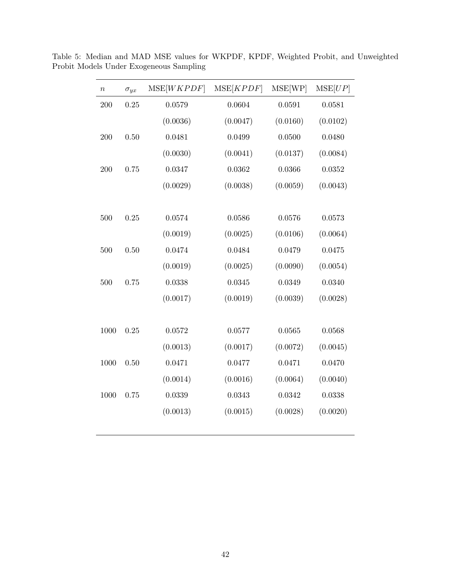| $\it n$ | $\sigma_{yx}$ | MSE[WKPDF] | MSE[KPDF] | MSE[WP]  | MSE[UP]  |
|---------|---------------|------------|-----------|----------|----------|
| 200     | 0.25          | 0.0579     | 0.0604    | 0.0591   | 0.0581   |
|         |               | (0.0036)   | (0.0047)  | (0.0160) | (0.0102) |
| 200     | 0.50          | 0.0481     | 0.0499    | 0.0500   | 0.0480   |
|         |               | (0.0030)   | (0.0041)  | (0.0137) | (0.0084) |
| 200     | 0.75          | 0.0347     | 0.0362    | 0.0366   | 0.0352   |
|         |               | (0.0029)   | (0.0038)  | (0.0059) | (0.0043) |
|         |               |            |           |          |          |
| 500     | 0.25          | 0.0574     | 0.0586    | 0.0576   | 0.0573   |
|         |               | (0.0019)   | (0.0025)  | (0.0106) | (0.0064) |
| 500     | 0.50          | 0.0474     | 0.0484    | 0.0479   | 0.0475   |
|         |               | (0.0019)   | (0.0025)  | (0.0090) | (0.0054) |
| 500     | 0.75          | 0.0338     | 0.0345    | 0.0349   | 0.0340   |
|         |               | (0.0017)   | (0.0019)  | (0.0039) | (0.0028) |
|         |               |            |           |          |          |
| 1000    | 0.25          | 0.0572     | 0.0577    | 0.0565   | 0.0568   |
|         |               | (0.0013)   | (0.0017)  | (0.0072) | (0.0045) |
| 1000    | 0.50          | 0.0471     | 0.0477    | 0.0471   | 0.0470   |
|         |               | (0.0014)   | (0.0016)  | (0.0064) | (0.0040) |
| 1000    | 0.75          | 0.0339     | 0.0343    | 0.0342   | 0.0338   |
|         |               | (0.0013)   | (0.0015)  | (0.0028) | (0.0020) |
|         |               |            |           |          |          |

Table 5: Median and MAD MSE values for WKPDF, KPDF, Weighted Probit, and Unweighted Probit Models Under Exogeneous Sampling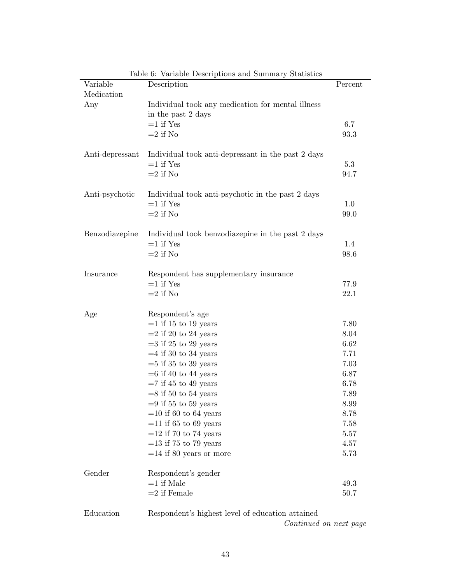| Variable        | Description                                                             | Percent |
|-----------------|-------------------------------------------------------------------------|---------|
| Medication      |                                                                         |         |
| Any             | Individual took any medication for mental illness<br>in the past 2 days |         |
|                 | $=1$ if Yes                                                             | 6.7     |
|                 | $=2$ if No                                                              | 93.3    |
| Anti-depressant | Individual took anti-depressant in the past 2 days                      |         |
|                 | $=1$ if Yes                                                             | 5.3     |
|                 | $=2$ if No                                                              | 94.7    |
| Anti-psychotic  | Individual took anti-psychotic in the past 2 days                       |         |
|                 | $=1$ if Yes                                                             | 1.0     |
|                 | $=$ 2 if No                                                             | 99.0    |
| Benzodiazepine  | Individual took benzodiazepine in the past 2 days                       |         |
|                 | $=1$ if Yes                                                             | 1.4     |
|                 | $=2$ if No                                                              | 98.6    |
| Insurance       | Respondent has supplementary insurance                                  |         |
|                 | $=1$ if Yes                                                             | 77.9    |
|                 | $=2$ if No                                                              | 22.1    |
| Age             | Respondent's age                                                        |         |
|                 | $=1$ if 15 to 19 years                                                  | 7.80    |
|                 | $=$ 2 if 20 to 24 years                                                 | 8.04    |
|                 | $=3$ if 25 to 29 years                                                  | 6.62    |
|                 | $=4$ if 30 to 34 years                                                  | 7.71    |
|                 | $=5$ if 35 to 39 years                                                  | 7.03    |
|                 | $=6$ if 40 to 44 years                                                  | 6.87    |
|                 | $=7$ if 45 to 49 years                                                  | 6.78    |
|                 | $=8$ if 50 to 54 years                                                  | 7.89    |
|                 | $=9$ if 55 to 59 years                                                  | 8.99    |
|                 | $=$ 10 if 60 to 64 years                                                | 8.78    |
|                 | $=$ 11 if 65 to 69 years                                                | 7.58    |
|                 | $=$ 12 if 70 to 74 years                                                | 5.57    |
|                 | $=$ 13 if 75 to 79 years                                                | 4.57    |
|                 | $=$ 14 if 80 years or more                                              | 5.73    |
| Gender          | Respondent's gender                                                     |         |
|                 | $=1$ if Male                                                            | 49.3    |
|                 | $=$ 2 if Female                                                         | 50.7    |
| Education       | Respondent's highest level of education attained                        |         |

Table 6: Variable Descriptions and Summary Statistics

Continued on next page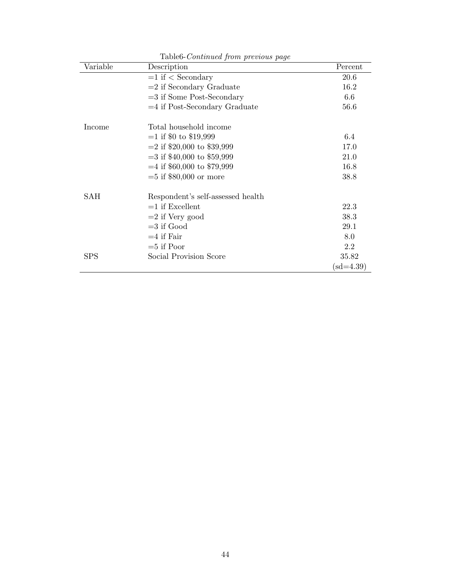| Variable   | Description                       | Percent     |
|------------|-----------------------------------|-------------|
|            | $=1$ if $\langle$ Secondary       | 20.6        |
|            | $=$ 2 if Secondary Graduate       | 16.2        |
|            | $=$ 3 if Some Post-Secondary      | 6.6         |
|            | $=4$ if Post-Secondary Graduate   | 56.6        |
| Income     | Total household income            |             |
|            | $=1$ if \$0 to \$19,999           | 6.4         |
|            | $=$ 2 if \$20,000 to \$39,999     | 17.0        |
|            | $=$ 3 if \$40,000 to \$59,999     | 21.0        |
|            | $=4$ if \$60,000 to \$79,999      | 16.8        |
|            | $=5$ if \$80,000 or more          | 38.8        |
| SAH        | Respondent's self-assessed health |             |
|            | $=1$ if Excellent                 | 22.3        |
|            | $=$ 2 if Very good                | 38.3        |
|            | $=$ 3 if Good                     | 29.1        |
|            | $=4$ if Fair                      | 8.0         |
|            | $=5$ if Poor                      | 2.2         |
| <b>SPS</b> | Social Provision Score            | 35.82       |
|            |                                   | $(sd=4.39)$ |

Table6-Continued from previous page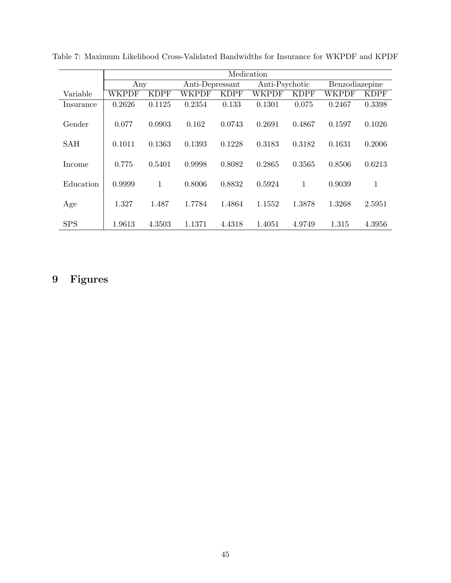|            |        |             |                 |             | Medication |                |        |                |
|------------|--------|-------------|-----------------|-------------|------------|----------------|--------|----------------|
|            | Any    |             | Anti-Depressant |             |            | Anti-Psychotic |        | Benzodiazepine |
| Variable   | WKPDF  | <b>KDPF</b> | WKPDF           | <b>KDPF</b> | WKPDF      | <b>KDPF</b>    | WKPDF  | <b>KDPF</b>    |
| Insurance  | 0.2626 | 0.1125      | 0.2354          | 0.133       | 0.1301     | 0.075          | 0.2467 | 0.3398         |
| Gender     | 0.077  | 0.0903      | 0.162           | 0.0743      | 0.2691     | 0.4867         | 0.1597 | 0.1026         |
| <b>SAH</b> | 0.1011 | 0.1363      | 0.1393          | 0.1228      | 0.3183     | 0.3182         | 0.1631 | 0.2006         |
| Income     | 0.775  | 0.5401      | 0.9998          | 0.8082      | 0.2865     | 0.3565         | 0.8506 | 0.6213         |
| Education  | 0.9999 | 1           | 0.8006          | 0.8832      | 0.5924     | 1              | 0.9039 | 1              |
| Age        | 1.327  | 1.487       | 1.7784          | 1.4864      | 1.1552     | 1.3878         | 1.3268 | 2.5951         |
| <b>SPS</b> | 1.9613 | 4.3503      | 1.1371          | 4.4318      | 1.4051     | 4.9749         | 1.315  | 4.3956         |

Table 7: Maximum Likelihood Cross-Validated Bandwidths for Insurance for WKPDF and KPDF

## 9 Figures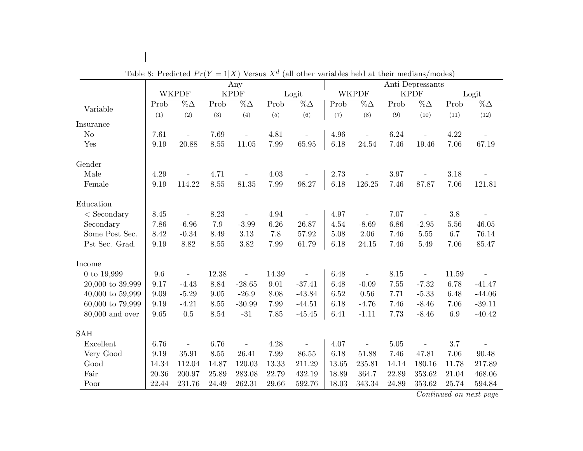|                          |       |                                  |         | Any                      |       | Anti-Depressants         |       |                          |       |                                  |       |                       |
|--------------------------|-------|----------------------------------|---------|--------------------------|-------|--------------------------|-------|--------------------------|-------|----------------------------------|-------|-----------------------|
|                          |       | <b>WKPDF</b>                     |         | <b>KPDF</b>              |       | Logit                    |       | <b>WKPDF</b>             |       | <b>KPDF</b>                      |       | Logit                 |
| Variable                 | Prob  | $\overline{\%}\overline{\Delta}$ | Prob    | $\overline{\%}\Delta$    | Prob  | $\overline{\%}\Delta$    | Prob  | $\overline{\%}\Delta$    | Prob  | $\overline{\%}\overline{\Delta}$ | Prob  | $\overline{\%}\Delta$ |
|                          | (1)   | (2)                              | (3)     | (4)                      | (5)   | (6)                      | (7)   | (8)                      | (9)   | (10)                             | (11)  | (12)                  |
| Insurance                |       |                                  |         |                          |       |                          |       |                          |       |                                  |       |                       |
| N <sub>o</sub>           | 7.61  | $\overline{a}$                   | 7.69    | $\equiv$                 | 4.81  |                          | 4.96  | $\equiv$                 | 6.24  |                                  | 4.22  |                       |
| Yes                      | 9.19  | 20.88                            | 8.55    | 11.05                    | 7.99  | 65.95                    | 6.18  | 24.54                    | 7.46  | 19.46                            | 7.06  | 67.19                 |
| Gender                   |       |                                  |         |                          |       |                          |       |                          |       |                                  |       |                       |
| Male                     | 4.29  |                                  | 4.71    |                          | 4.03  |                          | 2.73  |                          | 3.97  |                                  | 3.18  |                       |
| Female                   | 9.19  | 114.22                           | 8.55    | 81.35                    | 7.99  | 98.27                    | 6.18  | 126.25                   | 7.46  | 87.87                            | 7.06  | 121.81                |
| Education                |       |                                  |         |                          |       |                          |       |                          |       |                                  |       |                       |
| $<$ Secondary            | 8.45  |                                  | 8.23    | $\overline{\phantom{a}}$ | 4.94  |                          | 4.97  | $\overline{\phantom{a}}$ | 7.07  | $\overline{\phantom{a}}$         | 3.8   |                       |
| Secondary                | 7.86  | $-6.96$                          | $7.9\,$ | $-3.99$                  | 6.26  | 26.87                    | 4.54  | $-8.69$                  | 6.86  | $-2.95$                          | 5.56  | 46.05                 |
| Some Post Sec.           | 8.42  | $-0.34$                          | 8.49    | 3.13                     | 7.8   | 57.92                    | 5.08  | 2.06                     | 7.46  | 5.55                             | 6.7   | 76.14                 |
| Pst Sec. Grad.           | 9.19  | 8.82                             | 8.55    | 3.82                     | 7.99  | 61.79                    | 6.18  | 24.15                    | 7.46  | $5.49\,$                         | 7.06  | 85.47                 |
| Income                   |       |                                  |         |                          |       |                          |       |                          |       |                                  |       |                       |
| 0 to $19,999$            | 9.6   |                                  | 12.38   |                          | 14.39 |                          | 6.48  |                          | 8.15  |                                  | 11.59 |                       |
| $20,000$ to $39,999$     | 9.17  | $-4.43$                          | 8.84    | $-28.65$                 | 9.01  | $-37.41$                 | 6.48  | $-0.09$                  | 7.55  | $-7.32$                          | 6.78  | $-41.47$              |
| $40,\!000$ to $59,\!999$ | 9.09  | $-5.29$                          | 9.05    | $-26.9$                  | 8.08  | $-43.84$                 | 6.52  | 0.56                     | 7.71  | $-5.33$                          | 6.48  | $-44.06$              |
| $60,000$ to $79,999$     | 9.19  | $-4.21$                          | 8.55    | $-30.99$                 | 7.99  | $-44.51$                 | 6.18  | $-4.76$                  | 7.46  | $-8.46$                          | 7.06  | $-39.11$              |
| $80,000$ and over        | 9.65  | $0.5\,$                          | 8.54    | $-31$                    | 7.85  | $-45.45$                 | 6.41  | $-1.11$                  | 7.73  | $-8.46$                          | 6.9   | $-40.42$              |
| <b>SAH</b>               |       |                                  |         |                          |       |                          |       |                          |       |                                  |       |                       |
| Excellent                | 6.76  | $\overline{\phantom{a}}$         | 6.76    | $\overline{\phantom{a}}$ | 4.28  | $\overline{\phantom{a}}$ | 4.07  | $\overline{a}$           | 5.05  |                                  | 3.7   |                       |
| Very Good                | 9.19  | 35.91                            | 8.55    | 26.41                    | 7.99  | 86.55                    | 6.18  | 51.88                    | 7.46  | 47.81                            | 7.06  | 90.48                 |
| Good                     | 14.34 | 112.04                           | 14.87   | 120.03                   | 13.33 | 211.29                   | 13.65 | 235.81                   | 14.14 | 180.16                           | 11.78 | 217.89                |
| Fair                     | 20.36 | 200.97                           | 25.89   | 283.08                   | 22.79 | 432.19                   | 18.89 | 364.7                    | 22.89 | 353.62                           | 21.04 | 468.06                |
| Poor                     | 22.44 | 231.76                           | 24.49   | 262.31                   | 29.66 | 592.76                   | 18.03 | 343.34                   | 24.89 | 353.62                           | 25.74 | 594.84                |

Table 8: Predicted  $Pr(Y = 1|X)$  Versus  $X<sup>d</sup>$  (all other variables held at their medians/modes)

 $\begin{array}{c} \hline \end{array}$ 

Continued on next page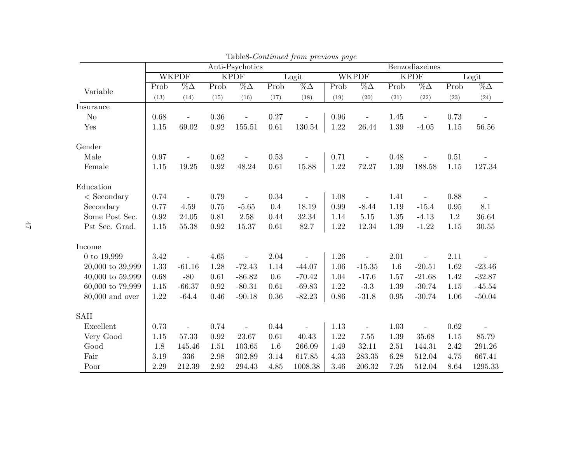|                      |          |                       |             | Anti-Psychotics                  |          | r – J               | Benzodiazeines           |                                  |             |                          |          |                       |
|----------------------|----------|-----------------------|-------------|----------------------------------|----------|---------------------|--------------------------|----------------------------------|-------------|--------------------------|----------|-----------------------|
|                      |          | <b>WKPDF</b>          | <b>KPDF</b> |                                  |          | Logit               |                          | <b>WKPDF</b>                     | <b>KPDF</b> |                          |          | Logit                 |
| Variable             | Prob     | $\overline{\%}\Delta$ | Prob        | $\overline{\%}\overline{\Delta}$ | Prob     | $\sqrt[6]{6\Delta}$ | $\overline{\text{Prob}}$ | $\overline{\%}\overline{\Delta}$ | Prob        | $\sqrt[6]{6\Delta}$      | Prob     | $\overline{\%}\Delta$ |
|                      | (13)     | (14)                  | (15)        | (16)                             | (17)     | (18)                | (19)                     | (20)                             | (21)        | (22)                     | (23)     | (24)                  |
| Insurance            |          |                       |             |                                  |          |                     |                          |                                  |             |                          |          |                       |
| N <sub>o</sub>       | 0.68     | $\overline{a}$        | 0.36        | $\overline{a}$                   | 0.27     |                     | 0.96                     | $\qquad \qquad \Box$             | 1.45        | $\equiv$                 | 0.73     | $\blacksquare$        |
| Yes                  | 1.15     | 69.02                 | 0.92        | 155.51                           | 0.61     | 130.54              | 1.22                     | 26.44                            | 1.39        | $-4.05$                  | 1.15     | 56.56                 |
| Gender               |          |                       |             |                                  |          |                     |                          |                                  |             |                          |          |                       |
| Male                 | 0.97     |                       | 0.62        |                                  | 0.53     |                     | 0.71                     |                                  | 0.48        |                          | 0.51     |                       |
| Female               | 1.15     | 19.25                 | 0.92        | 48.24                            | $0.61\,$ | 15.88               | 1.22                     | 72.27                            | 1.39        | 188.58                   | 1.15     | 127.34                |
| Education            |          |                       |             |                                  |          |                     |                          |                                  |             |                          |          |                       |
| $\langle$ Secondary  | 0.74     |                       | 0.79        |                                  | 0.34     |                     | 1.08                     |                                  | 1.41        | $\overline{\phantom{a}}$ | 0.88     |                       |
| Secondary            | 0.77     | 4.59                  | 0.75        | $-5.65$                          | $0.4\,$  | 18.19               | 0.99                     | $-8.44$                          | 1.19        | $-15.4$                  | 0.95     | 8.1                   |
| Some Post Sec.       | 0.92     | 24.05                 | 0.81        | 2.58                             | 0.44     | 32.34               | 1.14                     | $5.15\,$                         | 1.35        | $-4.13$                  | 1.2      | 36.64                 |
| Pst Sec. Grad.       | 1.15     | 55.38                 | 0.92        | 15.37                            | 0.61     | 82.7                | 1.22                     | 12.34                            | 1.39        | $-1.22$                  | 1.15     | $30.55\,$             |
| Income               |          |                       |             |                                  |          |                     |                          |                                  |             |                          |          |                       |
| 0 to 19,999          | $3.42\,$ |                       | 4.65        |                                  | 2.04     |                     | 1.26                     |                                  | 2.01        |                          | 2.11     |                       |
| 20,000 to 39,999     | 1.33     | $-61.16$              | 1.28        | $-72.43$                         | 1.14     | $-44.07$            | 1.06                     | $-15.35$                         | 1.6         | $-20.51$                 | 1.62     | $-23.46$              |
| $40,000$ to $59,999$ | 0.68     | $-80$                 | $0.61\,$    | $-86.82$                         | $0.6\,$  | $-70.42$            | 1.04                     | $-17.6$                          | 1.57        | $-21.68$                 | 1.42     | $-32.87$              |
| $60,000$ to $79,999$ | 1.15     | $-66.37$              | 0.92        | $-80.31$                         | 0.61     | $-69.83$            | 1.22                     | $-3.3$                           | 1.39        | $-30.74$                 | $1.15\,$ | $-45.54$              |
| $80,000$ and over    | 1.22     | $-64.4$               | 0.46        | $-90.18$                         | 0.36     | $-82.23$            | 0.86                     | $-31.8$                          | 0.95        | $-30.74$                 | 1.06     | $-50.04$              |
| SAH                  |          |                       |             |                                  |          |                     |                          |                                  |             |                          |          |                       |
| Excellent            | 0.73     | $\overline{a}$        | 0.74        | $\overline{\phantom{a}}$         | 0.44     |                     | 1.13                     | $\overline{\phantom{a}}$         | 1.03        | $\overline{\phantom{a}}$ | 0.62     |                       |
| Very Good            | 1.15     | 57.33                 | 0.92        | 23.67                            | 0.61     | 40.43               | 1.22                     | 7.55                             | 1.39        | 35.68                    | 1.15     | 85.79                 |
| Good                 | 1.8      | 145.46                | 1.51        | 103.65                           | 1.6      | 266.09              | 1.49                     | 32.11                            | 2.51        | 144.31                   | 2.42     | 291.26                |
| Fair                 | 3.19     | 336                   | 2.98        | 302.89                           | 3.14     | 617.85              | 4.33                     | 283.35                           | 6.28        | 512.04                   | 4.75     | 667.41                |
| Poor                 | 2.29     | 212.39                | 2.92        | 294.43                           | 4.85     | 1008.38             | 3.46                     | 206.32                           | 7.25        | 512.04                   | 8.64     | 1295.33               |

Table8-Continued from previous page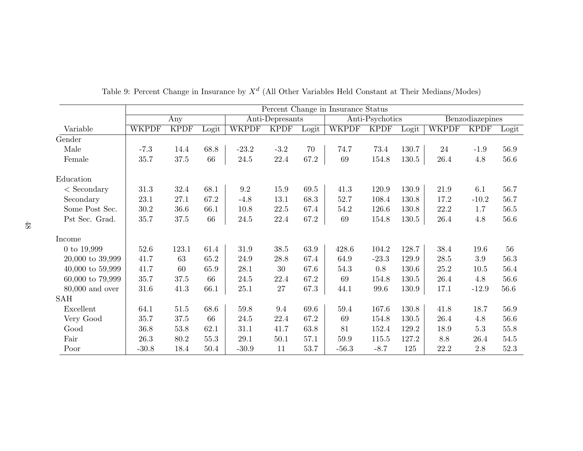|                      | Percent Change in Insurance Status |             |       |              |                 |       |              |                 |       |              |                 |       |  |
|----------------------|------------------------------------|-------------|-------|--------------|-----------------|-------|--------------|-----------------|-------|--------------|-----------------|-------|--|
|                      | Any                                |             |       |              | Anti-Depresants |       |              | Anti-Psychotics |       |              | Benzodiazepines |       |  |
| Variable             | <b>WKPDF</b>                       | <b>KPDF</b> | Logit | <b>WKPDF</b> | <b>KPDF</b>     | Logit | <b>WKPDF</b> | <b>KPDF</b>     | Logit | <b>WKPDF</b> | <b>KPDF</b>     | Logit |  |
| Gender               |                                    |             |       |              |                 |       |              |                 |       |              |                 |       |  |
| Male                 | $-7.3$                             | 14.4        | 68.8  | $-23.2$      | $-3.2$          | 70    | 74.7         | 73.4            | 130.7 | 24           | $-1.9$          | 56.9  |  |
| Female               | 35.7                               | 37.5        | 66    | 24.5         | 22.4            | 67.2  | 69           | 154.8           | 130.5 | 26.4         | 4.8             | 56.6  |  |
| Education            |                                    |             |       |              |                 |       |              |                 |       |              |                 |       |  |
| $\langle$ Secondary  | 31.3                               | 32.4        | 68.1  | 9.2          | 15.9            | 69.5  | 41.3         | 120.9           | 130.9 | 21.9         | 6.1             | 56.7  |  |
| Secondary            | 23.1                               | 27.1        | 67.2  | $-4.8$       | 13.1            | 68.3  | 52.7         | 108.4           | 130.8 | 17.2         | $-10.2$         | 56.7  |  |
| Some Post Sec.       | 30.2                               | 36.6        | 66.1  | 10.8         | 22.5            | 67.4  | 54.2         | 126.6           | 130.8 | 22.2         | 1.7             | 56.5  |  |
| Pst Sec. Grad.       | 35.7                               | 37.5        | 66    | 24.5         | 22.4            | 67.2  | 69           | 154.8           | 130.5 | 26.4         | 4.8             | 56.6  |  |
| Income               |                                    |             |       |              |                 |       |              |                 |       |              |                 |       |  |
| 0 to 19,999          | 52.6                               | 123.1       | 61.4  | 31.9         | 38.5            | 63.9  | 428.6        | 104.2           | 128.7 | 38.4         | 19.6            | 56    |  |
| $20,000$ to $39,999$ | 41.7                               | 63          | 65.2  | 24.9         | $28.8\,$        | 67.4  | 64.9         | $-23.3$         | 129.9 | 28.5         | $3.9\,$         | 56.3  |  |
| 40,000 to 59,999     | 41.7                               | 60          | 65.9  | 28.1         | 30              | 67.6  | 54.3         | 0.8             | 130.6 | 25.2         | 10.5            | 56.4  |  |
| $60,000$ to $79,999$ | 35.7                               | 37.5        | 66    | 24.5         | 22.4            | 67.2  | 69           | 154.8           | 130.5 | 26.4         | $4.8\,$         | 56.6  |  |
| $80,000$ and over    | 31.6                               | 41.3        | 66.1  | 25.1         | $27\,$          | 67.3  | 44.1         | 99.6            | 130.9 | 17.1         | $-12.9$         | 56.6  |  |
| $\operatorname{SAH}$ |                                    |             |       |              |                 |       |              |                 |       |              |                 |       |  |
| Excellent            | 64.1                               | 51.5        | 68.6  | 59.8         | 9.4             | 69.6  | 59.4         | 167.6           | 130.8 | 41.8         | 18.7            | 56.9  |  |
| Very Good            | 35.7                               | $37.5\,$    | 66    | $24.5\,$     | 22.4            | 67.2  | 69           | 154.8           | 130.5 | 26.4         | 4.8             | 56.6  |  |
| Good                 | 36.8                               | 53.8        | 62.1  | 31.1         | 41.7            | 63.8  | 81           | 152.4           | 129.2 | 18.9         | $5.3\,$         | 55.8  |  |
| Fair                 | 26.3                               | 80.2        | 55.3  | $29.1\,$     | 50.1            | 57.1  | $59.9\,$     | 115.5           | 127.2 | 8.8          | 26.4            | 54.5  |  |
| Poor                 | $-30.8$                            | 18.4        | 50.4  | $-30.9$      | 11              | 53.7  | $-56.3$      | $-8.7$          | 125   | 22.2         | 2.8             | 52.3  |  |

| Table 9: Percent Change in Insurance by $X^d$ (All Other Variables Held Constant at Their Medians/Modes) |  |  |  |  |  |  |  |
|----------------------------------------------------------------------------------------------------------|--|--|--|--|--|--|--|
|----------------------------------------------------------------------------------------------------------|--|--|--|--|--|--|--|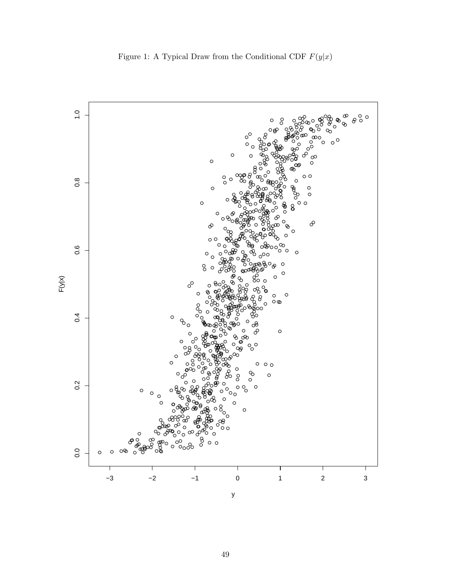

Figure 1: A Typical Draw from the Conditional CDF  $F(y|x)$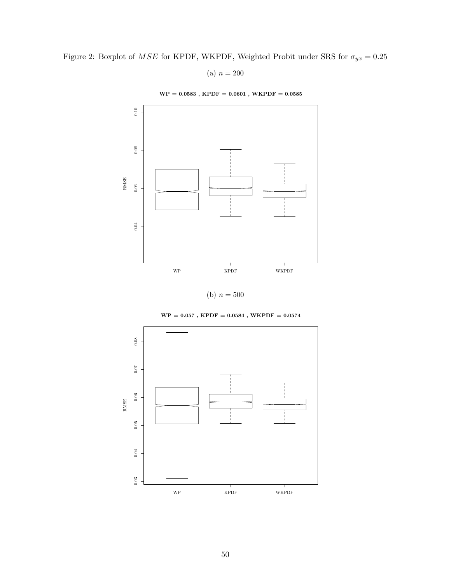Figure 2: Boxplot of  $MSE$  for KPDF, WKPDF, Weighted Probit under SRS for  $\sigma_{yx} = 0.25$ 

(a)  $n = 200$ 

 $\rm WP=0.0583$  ,  $\rm KPDF=0.0601$  ,  $\rm WKPDF=0.0585$ 



(b)  $n = 500$ 



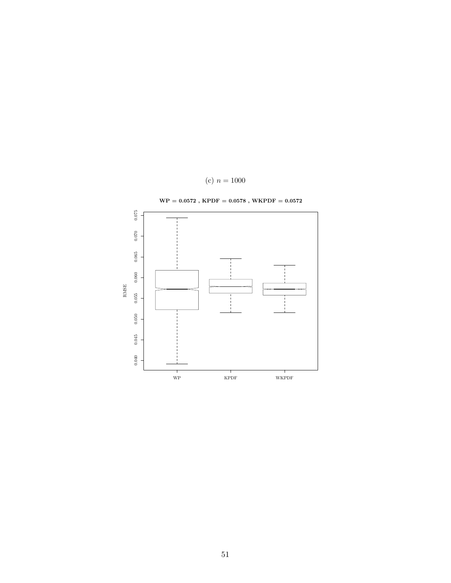

(c)  $n = 1000$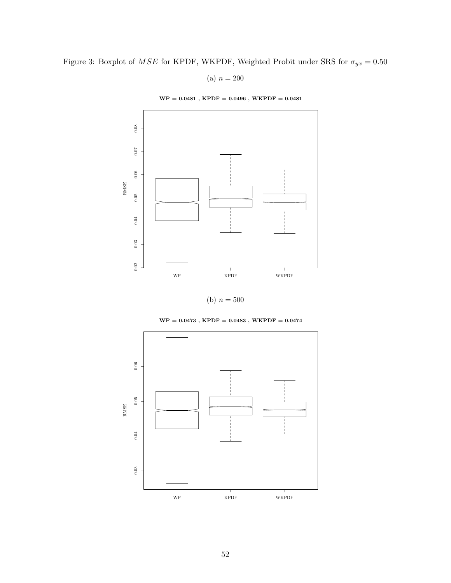Figure 3: Boxplot of  $MSE$  for KPDF, WKPDF, Weighted Probit under SRS for  $\sigma_{yx}=0.50$ 

(a)  $n = 200$ 

 $WP = 0.0481$ ,  $KPDF = 0.0496$ ,  $WKPDF = 0.0481$ 





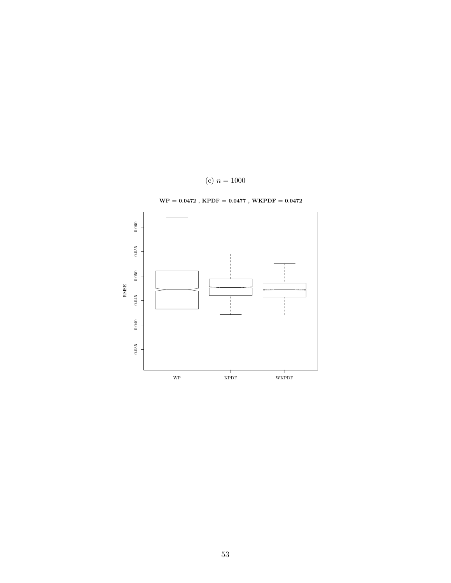

 $\mathrm{WP} = 0.0472$  ,  $\mathrm{KPDF} = 0.0477$  ,  $\mathrm{WKPDF} = 0.0472$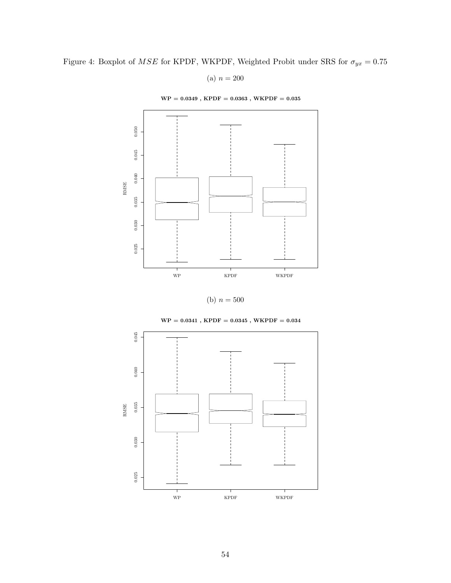Figure 4: Boxplot of  $MSE$  for KPDF, WKPDF, Weighted Probit under SRS for  $\sigma_{yx} = 0.75$ 

(a)  $n = 200$ 

 $\text{WP} = 0.0349$  ,  $\text{KPDF} = 0.0363$  ,  $\text{WKPDF} = 0.035$ 



(b)  $n = 500$ 



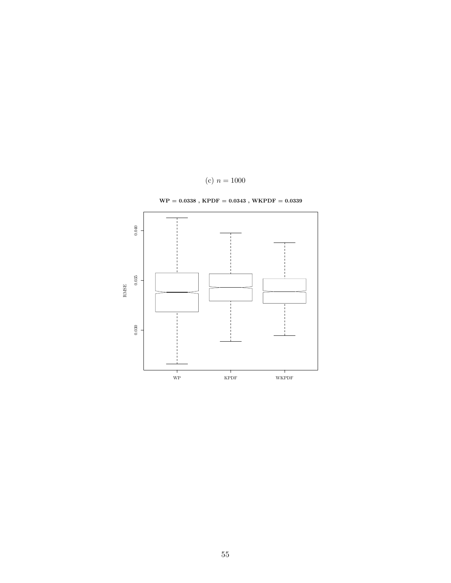

 $\rm WP=0.0338$  ,  $\rm KPDF=0.0343$  ,  $\rm WKPDF=0.0339$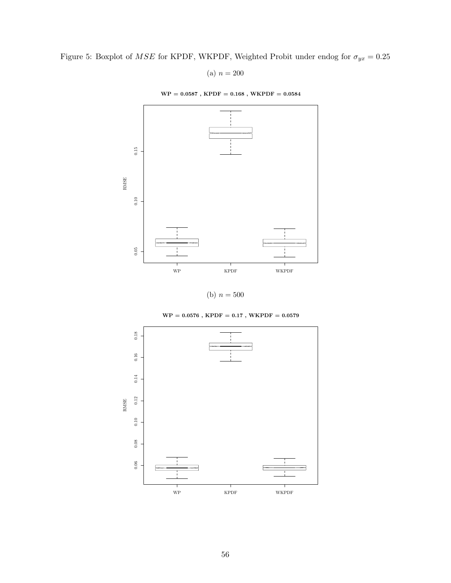Figure 5: Boxplot of  $MSE$  for KPDF, WKPDF, Weighted Probit under endog for  $\sigma_{yx}=0.25$ 

(a)  $n = 200$ 

 $\rm WP$  = 0.0587 ,  $\rm KPDF$  = 0.168 ,  $\rm WKPDF$  = 0.0584



(b)  $n = 500$ 



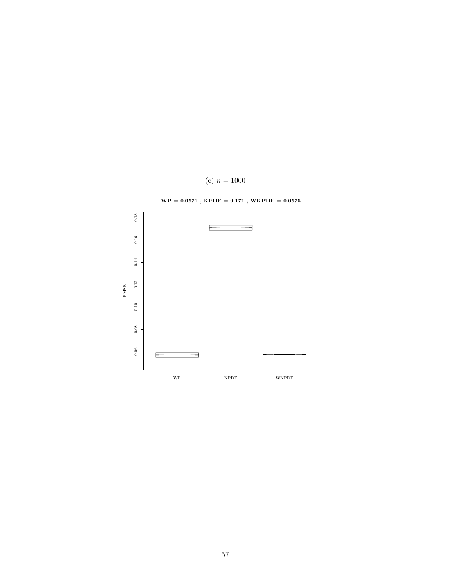

(c)  $n = 1000$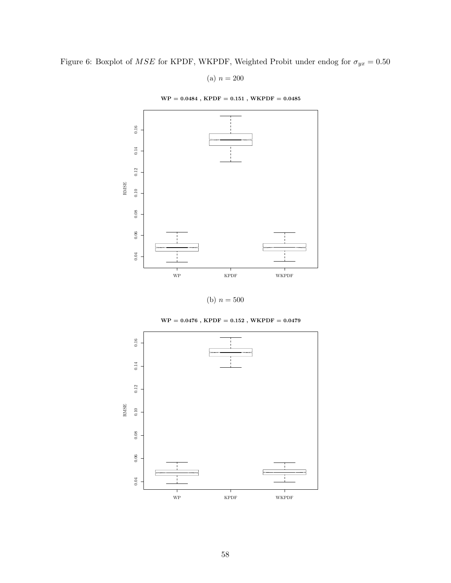Figure 6: Boxplot of  $MSE$  for KPDF, WKPDF, Weighted Probit under endog for  $\sigma_{yx}=0.50$ 

(a)  $n = 200$ 







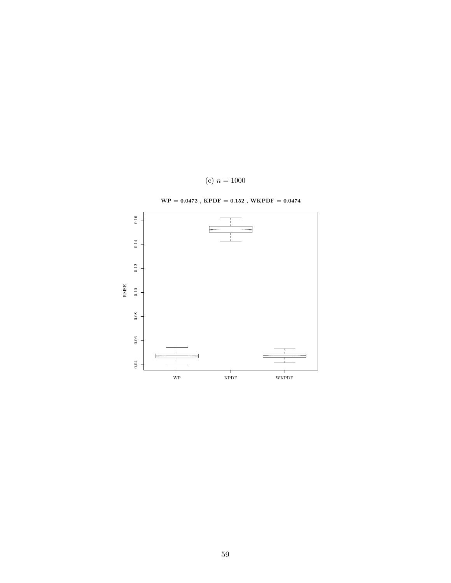

(c)  $n = 1000$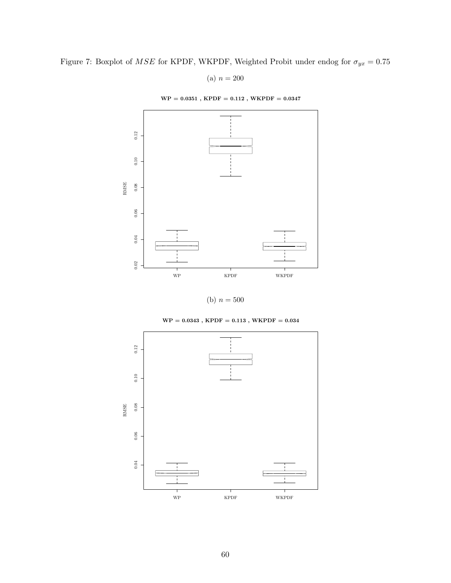Figure 7: Boxplot of  $MSE$  for KPDF, WKPDF, Weighted Probit under endog for  $\sigma_{yx}=0.75$ 

(a)  $n = 200$ 





(b)  $n = 500$ 

 $WP = 0.0343$ ,  $KPDF = 0.113$ ,  $WKPDF = 0.034$ 

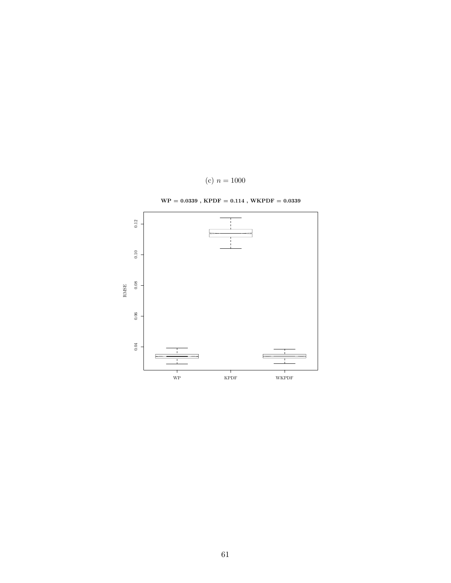

 $\rm WP=0.0339$  ,  $\rm KPDF=0.114$  ,  $\rm WKPDF=0.0339$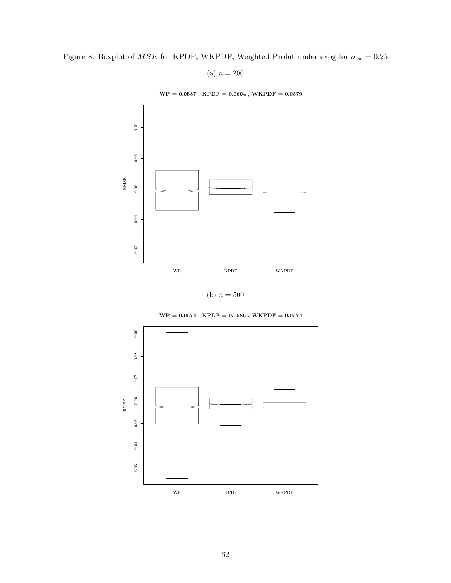Figure 8: Boxplot of  $MSE$  for KPDF, WKPDF, Weighted Probit under exog for  $\sigma_{yx} = 0.25$ 

(a)  $n = 200$ 

 $\rm WP=0.0587$  ,  $\rm KPDF=0.0604$  ,  $\rm WKPDF=0.0579$ 



(b)  $n = 500$ 



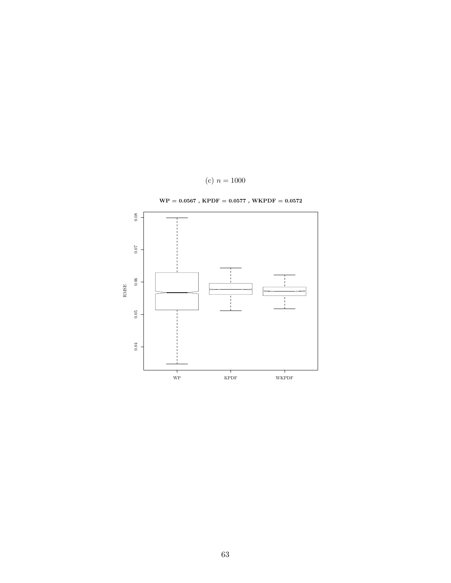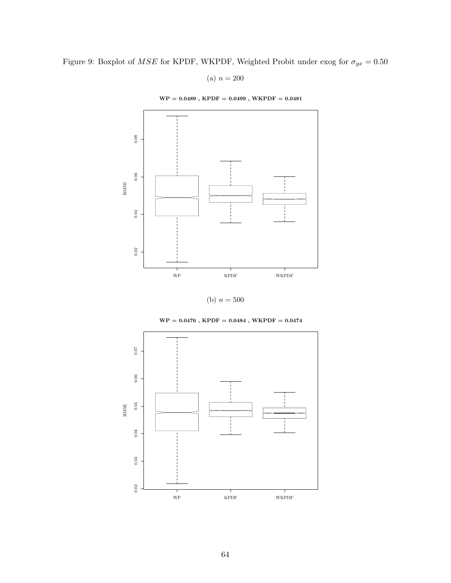Figure 9: Boxplot of  $MSE$  for KPDF, WKPDF, Weighted Probit under exog for  $\sigma_{yx}=0.50$ 

(a)  $n = 200$ 

 $WP = 0.0489$ ,  $KPDF = 0.0499$ ,  $WKPDF = 0.0481$ 





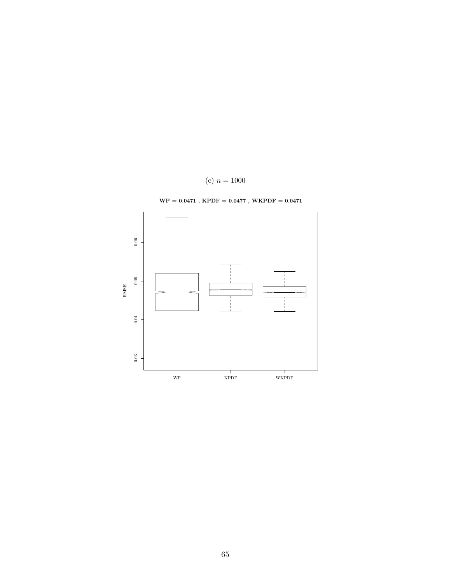

 $\text{WP} = 0.0471$  ,  $\text{KPDF} = 0.0477$  ,  $\text{WKPDF} = 0.0471$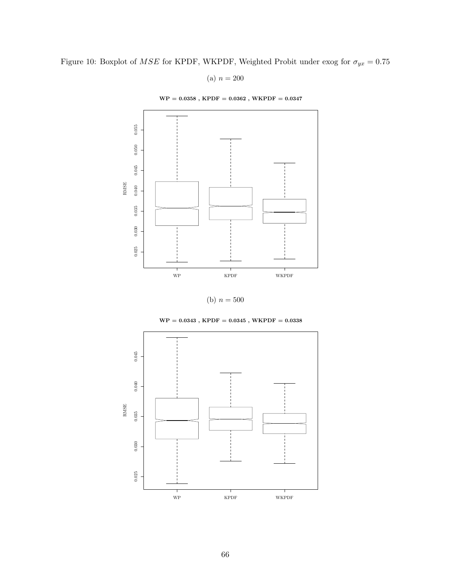Figure 10: Boxplot of  $MSE$  for KPDF, WKPDF, Weighted Probit under exog for  $\sigma_{yx}=0.75$ 

(a)  $n = 200$ 

 $WP = 0.0358$ ,  $KPDF = 0.0362$ ,  $WKPDF = 0.0347$ 





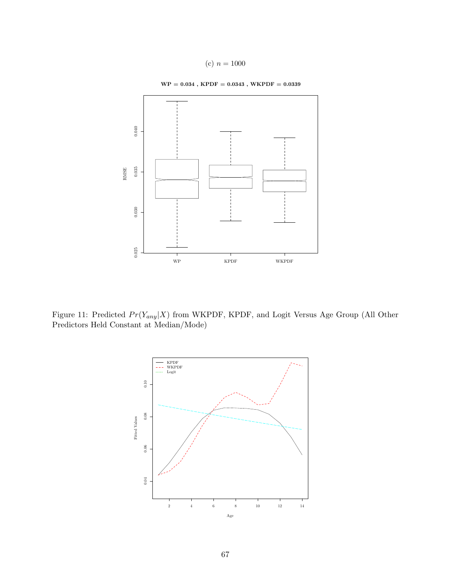(c) 
$$
n = 1000
$$

 $\mathrm{WP}=0.034$  ,  $\mathrm{KPDF}=0.0343$  ,  $\mathrm{WKPDF}=0.0339$ 



Figure 11: Predicted  $Pr(Y_{any}|X)$  from WKPDF, KPDF, and Logit Versus Age Group (All Other Predictors Held Constant at Median/Mode)

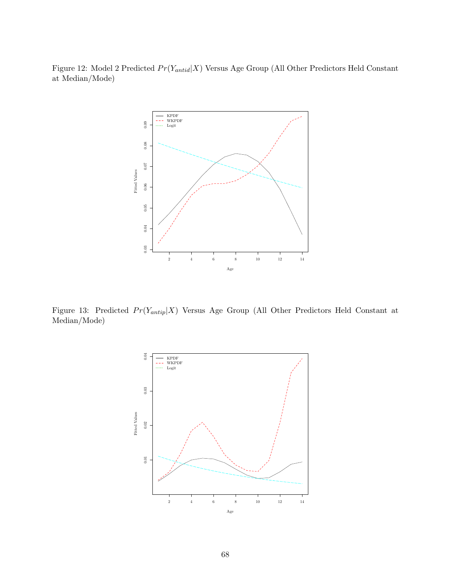Figure 12: Model 2 Predicted  $Pr(Y_{antid}|X)$  Versus Age Group (All Other Predictors Held Constant at Median/Mode)



Figure 13: Predicted  $Pr(Y_{antip}|X)$  Versus Age Group (All Other Predictors Held Constant at Median/Mode)

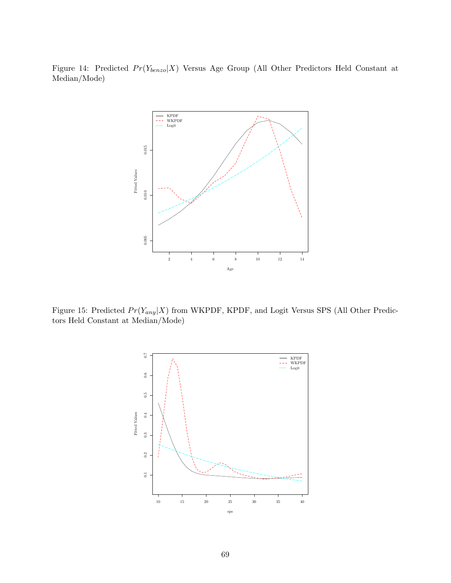Figure 14: Predicted  $Pr(Y_{benzo}|X)$  Versus Age Group (All Other Predictors Held Constant at Median/Mode)



Figure 15: Predicted  $Pr(Y_{any}|X)$  from WKPDF, KPDF, and Logit Versus SPS (All Other Predictors Held Constant at Median/Mode)

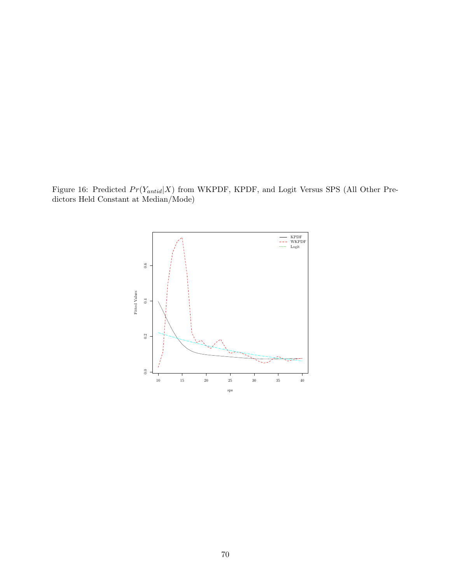Figure 16: Predicted  $Pr(Y_{antid}|X)$  from WKPDF, KPDF, and Logit Versus SPS (All Other Predictors Held Constant at Median/Mode)

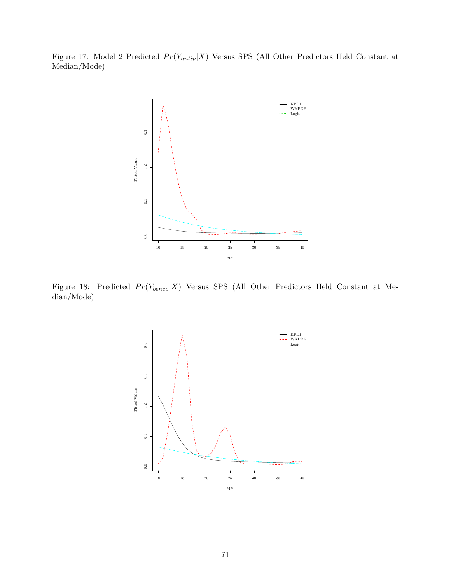Figure 17: Model 2 Predicted  $Pr(Y_{antip}|X)$  Versus SPS (All Other Predictors Held Constant at Median/Mode)



Figure 18: Predicted  $Pr(Y_{benzo}|X)$  Versus SPS (All Other Predictors Held Constant at Median/Mode)

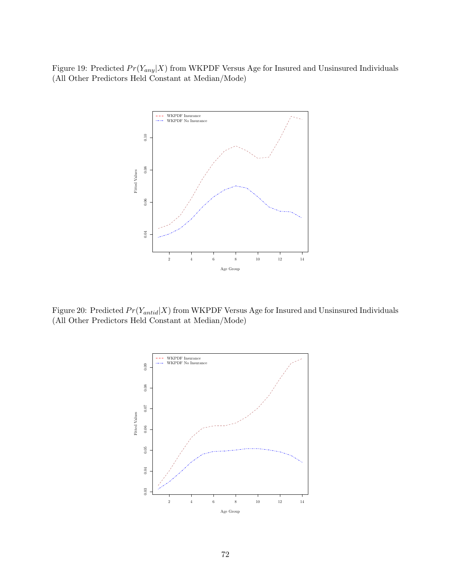Figure 19: Predicted  $Pr(Y_{any}|X)$  from WKPDF Versus Age for Insured and Unsinsured Individuals (All Other Predictors Held Constant at Median/Mode)



Figure 20: Predicted  $Pr(Y_{antid}|X)$  from WKPDF Versus Age for Insured and Unsinsured Individuals (All Other Predictors Held Constant at Median/Mode)

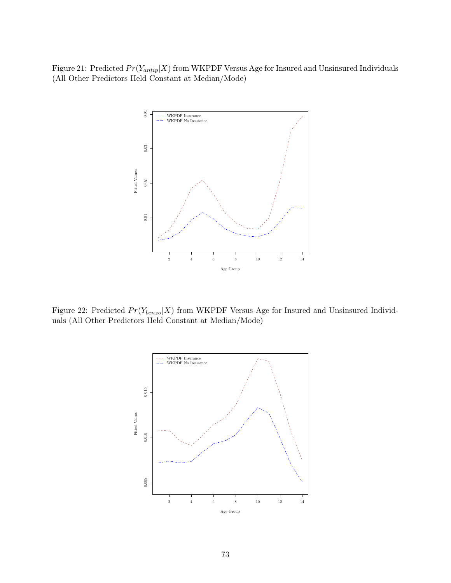Figure 21: Predicted  $Pr(Y_{antip}|X)$  from WKPDF Versus Age for Insured and Unsinsured Individuals (All Other Predictors Held Constant at Median/Mode)



Figure 22: Predicted  $Pr(Y_{benzo}|X)$  from WKPDF Versus Age for Insured and Unsinsured Individuals (All Other Predictors Held Constant at Median/Mode)

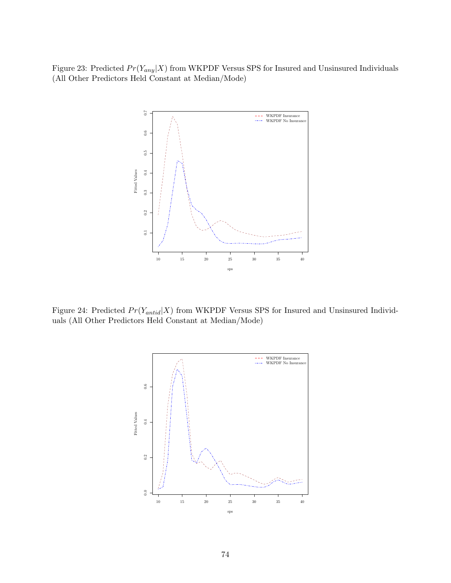Figure 23: Predicted  $Pr(Y_{any}|X)$  from WKPDF Versus SPS for Insured and Unsinsured Individuals (All Other Predictors Held Constant at Median/Mode)



Figure 24: Predicted  $Pr(Y_{antid}|X)$  from WKPDF Versus SPS for Insured and Unsinsured Individuals (All Other Predictors Held Constant at Median/Mode)